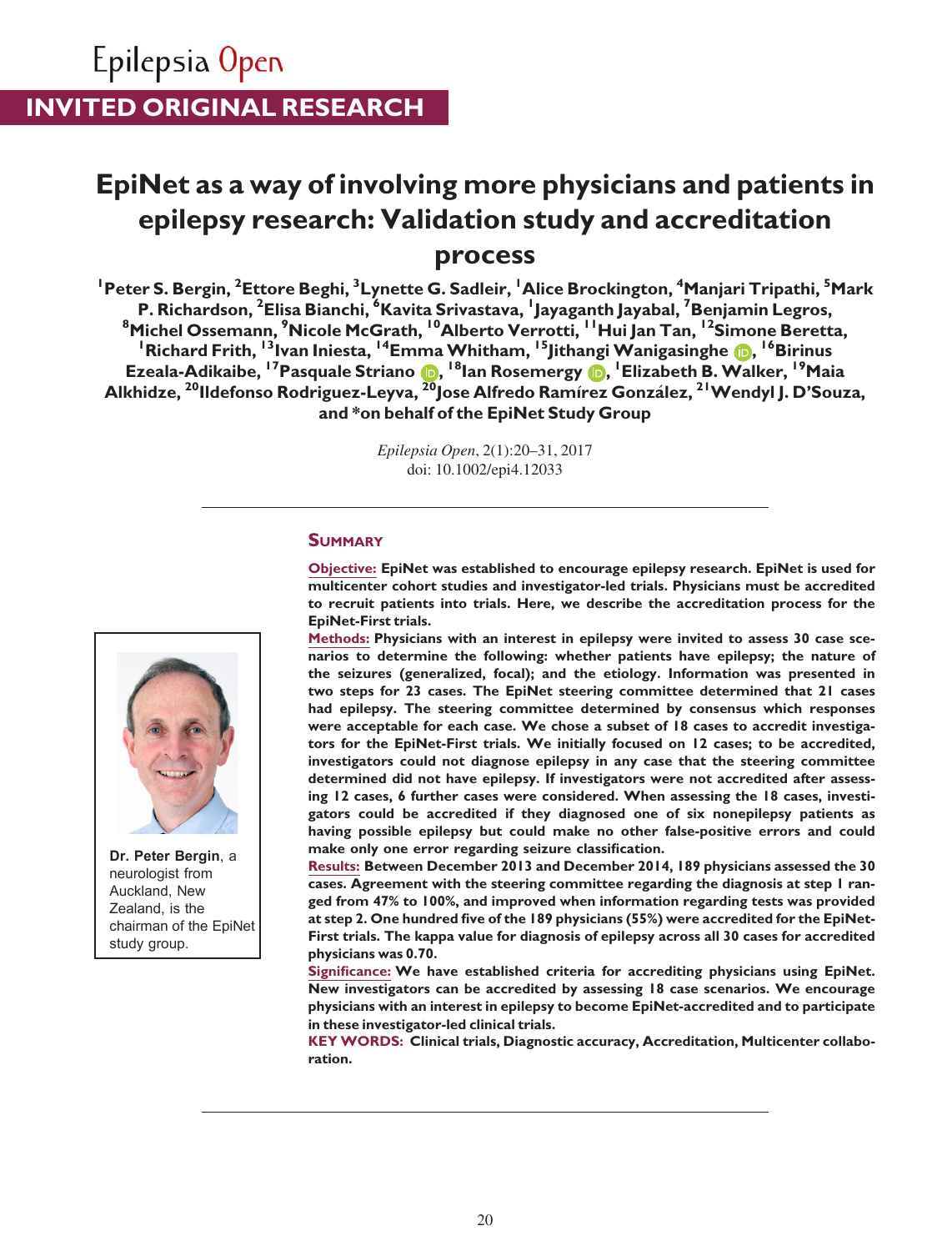# EpiNet as a way of involving more physicians and patients in epilepsy research: Validation study and accreditation process

<sup>1</sup>Peter S. Bergin, <sup>2</sup>Ettore Beghi, <sup>3</sup>Lynette G. Sadleir, <sup>1</sup>Alice Brockington, <sup>4</sup>Manjari Tripathi, <sup>5</sup>Mark P. Richardson, <sup>2</sup>Elisa Bianchi, <sup>6</sup>Kavita Srivastava, <sup>1</sup>Jayaganth Jayabal, <sup>7</sup>Benjamin Legros,<br><sup>8</sup>Michel Ossemann, <sup>9</sup>Nicole McGrath, <sup>10</sup>Alberto Verrotti, <sup>11</sup>Hui Jan Tan, <sup>12</sup>Simone Beretta,<br><sup>1</sup>Richard Frith, <sup>13</sup>Ivan Ezeala-Adikaibe, <sup>17</sup>Pasquale Striano (D, <sup>18</sup>lan Rosemerg[y](http://orcid.org/0000-0003-0288-8261) (D, <sup>1</sup>Elizabeth B. Walker, <sup>19</sup>Maia Alkhidze, <sup>[20](http://orcid.org/0000-0002-6065-1476)</sup>Ildefonso Rodriguez-Leyva, <sup>20</sup>Jose Alfredo Ramírez González, <sup>21</sup>Wendyl J. D'Souza, and \*on behalf of the EpiNet Study Group

> Epilepsia Open, 2(1):20–31, 2017 doi: 10.1002/epi4.12033

### **SUMMARY**

Objective: EpiNet was established to encourage epilepsy research. EpiNet is used for multicenter cohort studies and investigator-led trials. Physicians must be accredited to recruit patients into trials. Here, we describe the accreditation process for the EpiNet-First trials.

Methods: Physicians with an interest in epilepsy were invited to assess 30 case scenarios to determine the following: whether patients have epilepsy; the nature of the seizures (generalized, focal); and the etiology. Information was presented in two steps for 23 cases. The EpiNet steering committee determined that 21 cases had epilepsy. The steering committee determined by consensus which responses were acceptable for each case. We chose a subset of 18 cases to accredit investigators for the EpiNet-First trials. We initially focused on 12 cases; to be accredited, investigators could not diagnose epilepsy in any case that the steering committee determined did not have epilepsy. If investigators were not accredited after assessing 12 cases, 6 further cases were considered. When assessing the 18 cases, investigators could be accredited if they diagnosed one of six nonepilepsy patients as having possible epilepsy but could make no other false-positive errors and could make only one error regarding seizure classification.

Results: Between December 2013 and December 2014, 189 physicians assessed the 30 cases. Agreement with the steering committee regarding the diagnosis at step 1 ranged from 47% to 100%, and improved when information regarding tests was provided at step 2. One hundred five of the 189 physicians (55%) were accredited for the EpiNet-First trials. The kappa value for diagnosis of epilepsy across all 30 cases for accredited physicians was 0.70.

Significance: We have established criteria for accrediting physicians using EpiNet. New investigators can be accredited by assessing 18 case scenarios. We encourage physicians with an interest in epilepsy to become EpiNet-accredited and to participate in these investigator-led clinical trials.

KEY WORDS: Clinical trials, Diagnostic accuracy, Accreditation, Multicenter collaboration.



Dr. Peter Bergin, a neurologist from Auckland, New Zealand, is the chairman of the EpiNet study group.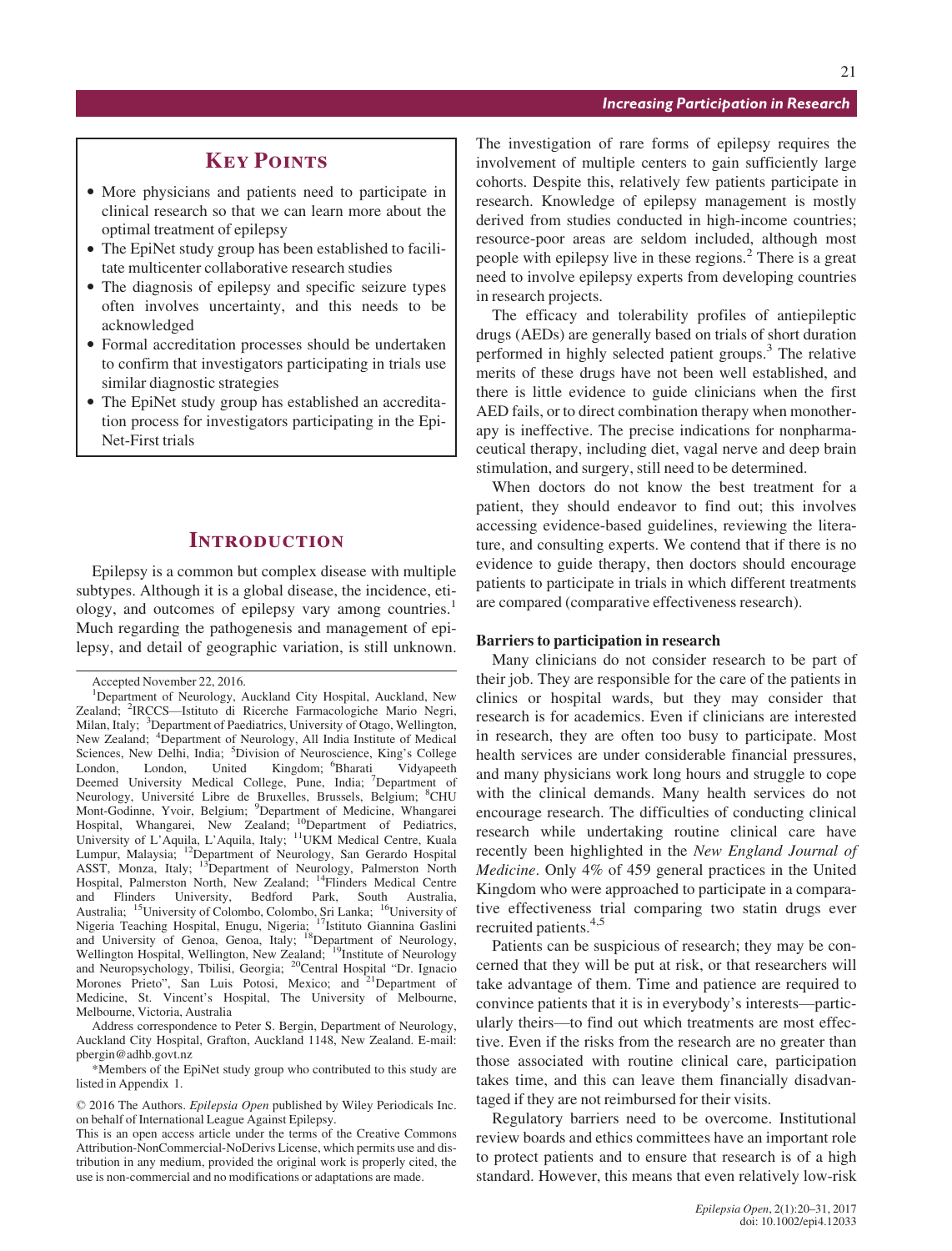# **KEY POINTS**

- More physicians and patients need to participate in clinical research so that we can learn more about the optimal treatment of epilepsy
- The EpiNet study group has been established to facilitate multicenter collaborative research studies
- The diagnosis of epilepsy and specific seizure types often involves uncertainty, and this needs to be acknowledged
- Formal accreditation processes should be undertaken to confirm that investigators participating in trials use similar diagnostic strategies
- The EpiNet study group has established an accreditation process for investigators participating in the Epi-Net-First trials

# **INTRODUCTION**

Epilepsy is a common but complex disease with multiple subtypes. Although it is a global disease, the incidence, etiology, and outcomes of epilepsy vary among countries.<sup>1</sup> Much regarding the pathogenesis and management of epilepsy, and detail of geographic variation, is still unknown.

Address correspondence to Peter S. Bergin, Department of Neurology, Auckland City Hospital, Grafton, Auckland 1148, New Zealand. E-mail: pbergin@adhb.govt.nz

\*Members of the EpiNet study group who contributed to this study are listed in Appendix 1.

© 2016 The Authors. Epilepsia Open published by Wiley Periodicals Inc. on behalf of International League Against Epilepsy.

This is an open access article under the terms of the [Creative Commons](http://creativecommons.org/licenses/by-nc-nd/4.0/) [Attribution-NonCommercial-NoDerivs](http://creativecommons.org/licenses/by-nc-nd/4.0/) License, which permits use and distribution in any medium, provided the original work is properly cited, the use is non-commercial and no modifications or adaptations are made.

The investigation of rare forms of epilepsy requires the involvement of multiple centers to gain sufficiently large cohorts. Despite this, relatively few patients participate in research. Knowledge of epilepsy management is mostly derived from studies conducted in high-income countries; resource-poor areas are seldom included, although most people with epilepsy live in these regions.<sup>2</sup> There is a great need to involve epilepsy experts from developing countries in research projects.

The efficacy and tolerability profiles of antiepileptic drugs (AEDs) are generally based on trials of short duration performed in highly selected patient groups. $3$  The relative merits of these drugs have not been well established, and there is little evidence to guide clinicians when the first AED fails, or to direct combination therapy when monotherapy is ineffective. The precise indications for nonpharmaceutical therapy, including diet, vagal nerve and deep brain stimulation, and surgery, still need to be determined.

When doctors do not know the best treatment for a patient, they should endeavor to find out; this involves accessing evidence-based guidelines, reviewing the literature, and consulting experts. We contend that if there is no evidence to guide therapy, then doctors should encourage patients to participate in trials in which different treatments are compared (comparative effectiveness research).

#### Barriers to participation in research

Many clinicians do not consider research to be part of their job. They are responsible for the care of the patients in clinics or hospital wards, but they may consider that research is for academics. Even if clinicians are interested in research, they are often too busy to participate. Most health services are under considerable financial pressures, and many physicians work long hours and struggle to cope with the clinical demands. Many health services do not encourage research. The difficulties of conducting clinical research while undertaking routine clinical care have recently been highlighted in the New England Journal of Medicine. Only 4% of 459 general practices in the United Kingdom who were approached to participate in a comparative effectiveness trial comparing two statin drugs ever recruited patients.<sup>4,5</sup>

Patients can be suspicious of research; they may be concerned that they will be put at risk, or that researchers will take advantage of them. Time and patience are required to convince patients that it is in everybody's interests—particularly theirs—to find out which treatments are most effective. Even if the risks from the research are no greater than those associated with routine clinical care, participation takes time, and this can leave them financially disadvantaged if they are not reimbursed for their visits.

Regulatory barriers need to be overcome. Institutional review boards and ethics committees have an important role to protect patients and to ensure that research is of a high standard. However, this means that even relatively low-risk

Accepted November 22, 2016.

<sup>&</sup>lt;sup>1</sup>Department of Neurology, Auckland City Hospital, Auckland, New Zealand; <sup>2</sup>IRCCS-Istituto di Ricerche Farmacologiche Mario Negri, Milan, Italy; <sup>3</sup>Department of Paediatrics, University of Otago, Wellington, New Zealand; <sup>4</sup>Department of Neurology, All India Institute of Medical Sciences, New Delhi, India; <sup>5</sup>Division of Neuroscience, King's College London, London, United Kingdom; <sup>6</sup>Bharati Vidyapeeth Deemed University Medical College, Pune, India; <sup>7</sup>Department of Neurology, Université Libre de Bruxelles, Brussels, Belgium; <sup>8</sup>CHU Mont-Godinne, Yvoir, Belgium; <sup>9</sup>Department of Medicine, Whangarei Hospital, Whangarei, New Zealand; <sup>10</sup>Department of Pediatrics, University of L'Aquila, L'Aquila, Italy; <sup>11</sup>UKM Medical Centre, Kuala Lumpur, Malaysia; 12Department of Neurology, San Gerardo Hospital ASST, Monza, Italy; <sup>13</sup>Department of Neurology, Palmerston North Hospital, Palmerston North, New Zealand; 14Flinders Medical Centre Flinders University, Bedford Park, South Australia, Australia; 15University of Colombo, Colombo, Sri Lanka; 16University of Nigeria Teaching Hospital, Enugu, Nigeria; <sup>17</sup>Istituto Giannina Gaslini and University of Genoa, Genoa, Italy; <sup>18</sup>Department of Neurology, Wellington Hospital, Wellington, New Zealand; <sup>19</sup>Institute of Neurology and Neuropsychology, Tbilisi, Georgia; <sup>20</sup>Central Hospital "Dr. Ignacio Morones Prieto", San Luis Potosi, Mexico; and <sup>21</sup>Department of Medicine, St. Vincent's Hospital, The University of Melbourne, Melbourne, Victoria, Australia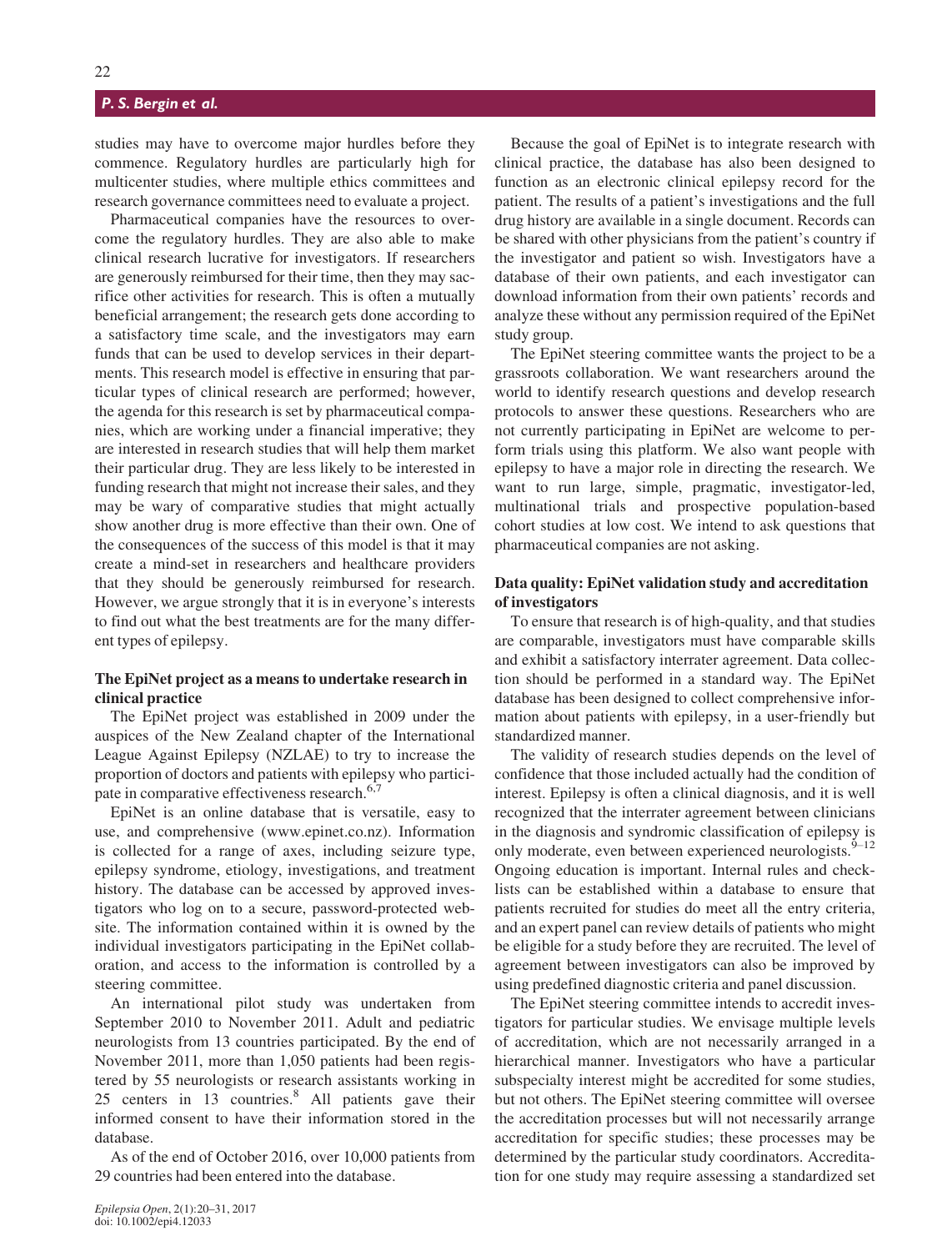studies may have to overcome major hurdles before they commence. Regulatory hurdles are particularly high for multicenter studies, where multiple ethics committees and research governance committees need to evaluate a project.

Pharmaceutical companies have the resources to overcome the regulatory hurdles. They are also able to make clinical research lucrative for investigators. If researchers are generously reimbursed for their time, then they may sacrifice other activities for research. This is often a mutually beneficial arrangement; the research gets done according to a satisfactory time scale, and the investigators may earn funds that can be used to develop services in their departments. This research model is effective in ensuring that particular types of clinical research are performed; however, the agenda for this research is set by pharmaceutical companies, which are working under a financial imperative; they are interested in research studies that will help them market their particular drug. They are less likely to be interested in funding research that might not increase their sales, and they may be wary of comparative studies that might actually show another drug is more effective than their own. One of the consequences of the success of this model is that it may create a mind-set in researchers and healthcare providers that they should be generously reimbursed for research. However, we argue strongly that it is in everyone's interests to find out what the best treatments are for the many different types of epilepsy.

### The EpiNet project as a means to undertake research in clinical practice

The EpiNet project was established in 2009 under the auspices of the New Zealand chapter of the International League Against Epilepsy (NZLAE) to try to increase the proportion of doctors and patients with epilepsy who participate in comparative effectiveness research.<sup>6,7</sup>

EpiNet is an online database that is versatile, easy to use, and comprehensive ([www.epinet.co.nz](http://www.epinet.co.nz)). Information is collected for a range of axes, including seizure type, epilepsy syndrome, etiology, investigations, and treatment history. The database can be accessed by approved investigators who log on to a secure, password-protected website. The information contained within it is owned by the individual investigators participating in the EpiNet collaboration, and access to the information is controlled by a steering committee.

An international pilot study was undertaken from September 2010 to November 2011. Adult and pediatric neurologists from 13 countries participated. By the end of November 2011, more than 1,050 patients had been registered by 55 neurologists or research assistants working in 25 centers in  $13$  countries.<sup>8</sup> All patients gave their informed consent to have their information stored in the database.

As of the end of October 2016, over 10,000 patients from 29 countries had been entered into the database.

Because the goal of EpiNet is to integrate research with clinical practice, the database has also been designed to function as an electronic clinical epilepsy record for the patient. The results of a patient's investigations and the full drug history are available in a single document. Records can be shared with other physicians from the patient's country if the investigator and patient so wish. Investigators have a database of their own patients, and each investigator can download information from their own patients' records and analyze these without any permission required of the EpiNet study group.

The EpiNet steering committee wants the project to be a grassroots collaboration. We want researchers around the world to identify research questions and develop research protocols to answer these questions. Researchers who are not currently participating in EpiNet are welcome to perform trials using this platform. We also want people with epilepsy to have a major role in directing the research. We want to run large, simple, pragmatic, investigator-led, multinational trials and prospective population-based cohort studies at low cost. We intend to ask questions that pharmaceutical companies are not asking.

## Data quality: EpiNet validation study and accreditation of investigators

To ensure that research is of high-quality, and that studies are comparable, investigators must have comparable skills and exhibit a satisfactory interrater agreement. Data collection should be performed in a standard way. The EpiNet database has been designed to collect comprehensive information about patients with epilepsy, in a user-friendly but standardized manner.

The validity of research studies depends on the level of confidence that those included actually had the condition of interest. Epilepsy is often a clinical diagnosis, and it is well recognized that the interrater agreement between clinicians in the diagnosis and syndromic classification of epilepsy is only moderate, even between experienced neurologists. $9-12$ Ongoing education is important. Internal rules and checklists can be established within a database to ensure that patients recruited for studies do meet all the entry criteria, and an expert panel can review details of patients who might be eligible for a study before they are recruited. The level of agreement between investigators can also be improved by using predefined diagnostic criteria and panel discussion.

The EpiNet steering committee intends to accredit investigators for particular studies. We envisage multiple levels of accreditation, which are not necessarily arranged in a hierarchical manner. Investigators who have a particular subspecialty interest might be accredited for some studies, but not others. The EpiNet steering committee will oversee the accreditation processes but will not necessarily arrange accreditation for specific studies; these processes may be determined by the particular study coordinators. Accreditation for one study may require assessing a standardized set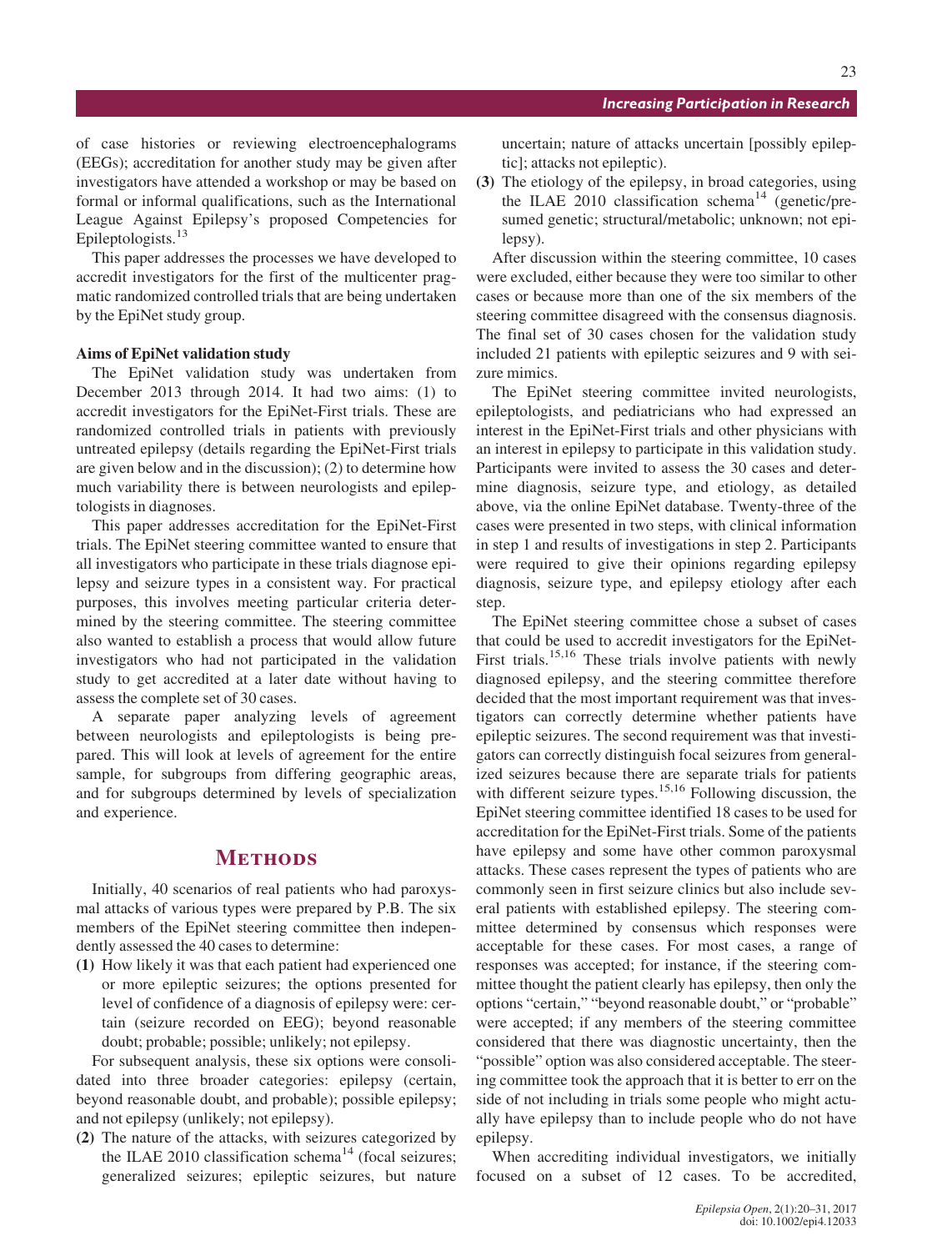23

of case histories or reviewing electroencephalograms (EEGs); accreditation for another study may be given after investigators have attended a workshop or may be based on formal or informal qualifications, such as the International League Against Epilepsy's proposed Competencies for Epileptologists.<sup>13</sup>

This paper addresses the processes we have developed to accredit investigators for the first of the multicenter pragmatic randomized controlled trials that are being undertaken by the EpiNet study group.

### Aims of EpiNet validation study

The EpiNet validation study was undertaken from December 2013 through 2014. It had two aims: (1) to accredit investigators for the EpiNet-First trials. These are randomized controlled trials in patients with previously untreated epilepsy (details regarding the EpiNet-First trials are given below and in the discussion); (2) to determine how much variability there is between neurologists and epileptologists in diagnoses.

This paper addresses accreditation for the EpiNet-First trials. The EpiNet steering committee wanted to ensure that all investigators who participate in these trials diagnose epilepsy and seizure types in a consistent way. For practical purposes, this involves meeting particular criteria determined by the steering committee. The steering committee also wanted to establish a process that would allow future investigators who had not participated in the validation study to get accredited at a later date without having to assess the complete set of 30 cases.

A separate paper analyzing levels of agreement between neurologists and epileptologists is being prepared. This will look at levels of agreement for the entire sample, for subgroups from differing geographic areas, and for subgroups determined by levels of specialization and experience.

# **METHODS**

Initially, 40 scenarios of real patients who had paroxysmal attacks of various types were prepared by P.B. The six members of the EpiNet steering committee then independently assessed the 40 cases to determine:

(1) How likely it was that each patient had experienced one or more epileptic seizures; the options presented for level of confidence of a diagnosis of epilepsy were: certain (seizure recorded on EEG); beyond reasonable doubt; probable; possible; unlikely; not epilepsy.

For subsequent analysis, these six options were consolidated into three broader categories: epilepsy (certain, beyond reasonable doubt, and probable); possible epilepsy; and not epilepsy (unlikely; not epilepsy).

(2) The nature of the attacks, with seizures categorized by the ILAE 2010 classification schema<sup>14</sup> (focal seizures; generalized seizures; epileptic seizures, but nature

uncertain; nature of attacks uncertain [possibly epileptic]; attacks not epileptic).

(3) The etiology of the epilepsy, in broad categories, using the ILAE 2010 classification schema<sup>14</sup> (genetic/presumed genetic; structural/metabolic; unknown; not epilepsy).

After discussion within the steering committee, 10 cases were excluded, either because they were too similar to other cases or because more than one of the six members of the steering committee disagreed with the consensus diagnosis. The final set of 30 cases chosen for the validation study included 21 patients with epileptic seizures and 9 with seizure mimics.

The EpiNet steering committee invited neurologists, epileptologists, and pediatricians who had expressed an interest in the EpiNet-First trials and other physicians with an interest in epilepsy to participate in this validation study. Participants were invited to assess the 30 cases and determine diagnosis, seizure type, and etiology, as detailed above, via the online EpiNet database. Twenty-three of the cases were presented in two steps, with clinical information in step 1 and results of investigations in step 2. Participants were required to give their opinions regarding epilepsy diagnosis, seizure type, and epilepsy etiology after each step.

The EpiNet steering committee chose a subset of cases that could be used to accredit investigators for the EpiNet-First trials.<sup>15,16</sup> These trials involve patients with newly diagnosed epilepsy, and the steering committee therefore decided that the most important requirement was that investigators can correctly determine whether patients have epileptic seizures. The second requirement was that investigators can correctly distinguish focal seizures from generalized seizures because there are separate trials for patients with different seizure types.<sup>15,16</sup> Following discussion, the EpiNet steering committee identified 18 cases to be used for accreditation for the EpiNet-First trials. Some of the patients have epilepsy and some have other common paroxysmal attacks. These cases represent the types of patients who are commonly seen in first seizure clinics but also include several patients with established epilepsy. The steering committee determined by consensus which responses were acceptable for these cases. For most cases, a range of responses was accepted; for instance, if the steering committee thought the patient clearly has epilepsy, then only the options "certain," "beyond reasonable doubt," or "probable" were accepted; if any members of the steering committee considered that there was diagnostic uncertainty, then the "possible" option was also considered acceptable. The steering committee took the approach that it is better to err on the side of not including in trials some people who might actually have epilepsy than to include people who do not have epilepsy.

When accrediting individual investigators, we initially focused on a subset of 12 cases. To be accredited,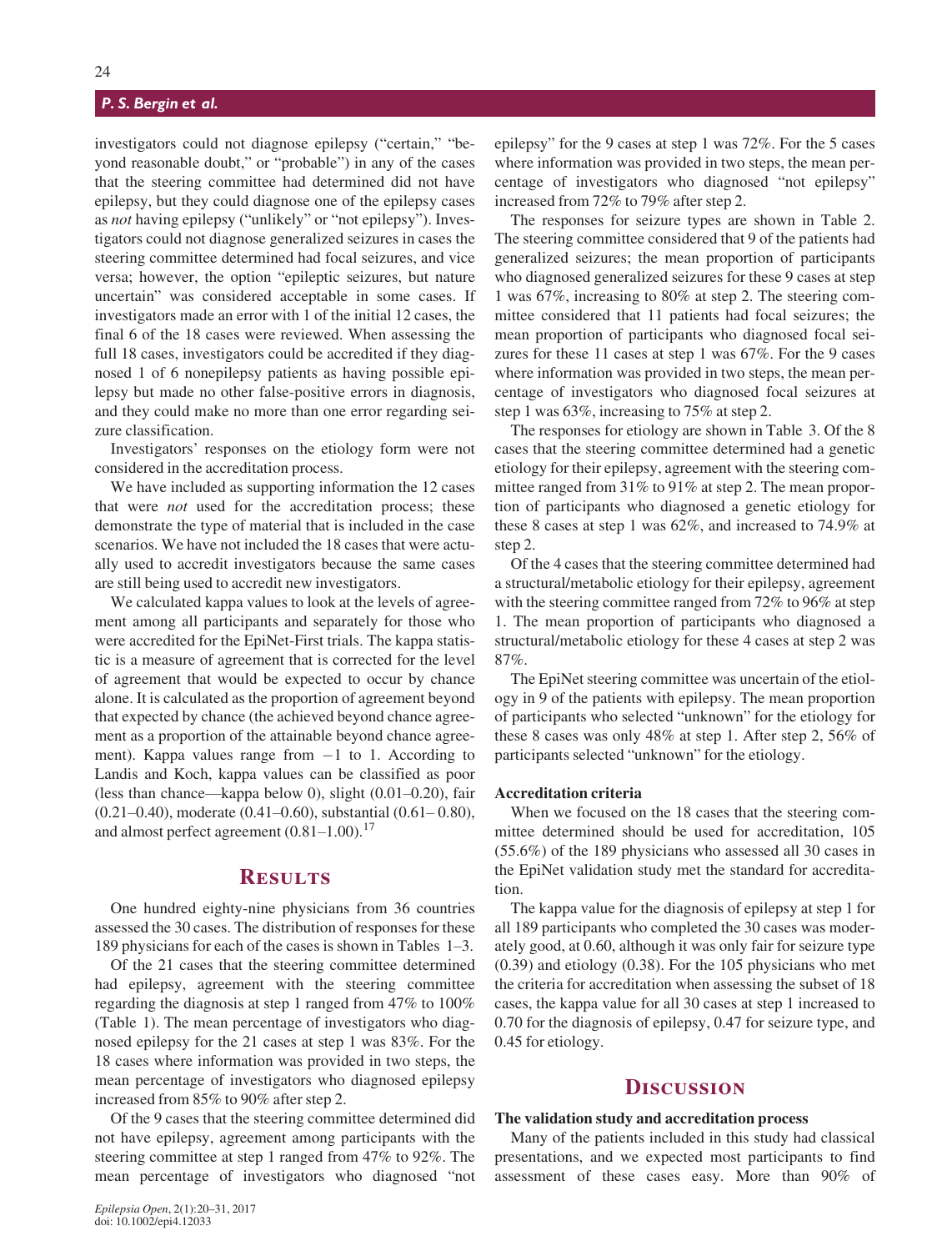investigators could not diagnose epilepsy ("certain," "beyond reasonable doubt," or "probable") in any of the cases that the steering committee had determined did not have epilepsy, but they could diagnose one of the epilepsy cases as not having epilepsy ("unlikely" or "not epilepsy"). Investigators could not diagnose generalized seizures in cases the steering committee determined had focal seizures, and vice versa; however, the option "epileptic seizures, but nature uncertain" was considered acceptable in some cases. If investigators made an error with 1 of the initial 12 cases, the final 6 of the 18 cases were reviewed. When assessing the full 18 cases, investigators could be accredited if they diagnosed 1 of 6 nonepilepsy patients as having possible epilepsy but made no other false-positive errors in diagnosis, and they could make no more than one error regarding seizure classification.

Investigators' responses on the etiology form were not considered in the accreditation process.

We have included as supporting information the 12 cases that were *not* used for the accreditation process; these demonstrate the type of material that is included in the case scenarios. We have not included the 18 cases that were actually used to accredit investigators because the same cases are still being used to accredit new investigators.

We calculated kappa values to look at the levels of agreement among all participants and separately for those who were accredited for the EpiNet-First trials. The kappa statistic is a measure of agreement that is corrected for the level of agreement that would be expected to occur by chance alone. It is calculated as the proportion of agreement beyond that expected by chance (the achieved beyond chance agreement as a proportion of the attainable beyond chance agreement). Kappa values range from  $-1$  to 1. According to Landis and Koch, kappa values can be classified as poor (less than chance—kappa below 0), slight (0.01–0.20), fair (0.21–0.40), moderate (0.41–0.60), substantial (0.61– 0.80), and almost perfect agreement  $(0.81-1.00)$ .<sup>17</sup>

# **RESULTS**

One hundred eighty-nine physicians from 36 countries assessed the 30 cases. The distribution of responses for these 189 physicians for each of the cases is shown in Tables 1–3.

Of the 21 cases that the steering committee determined had epilepsy, agreement with the steering committee regarding the diagnosis at step 1 ranged from 47% to 100% (Table 1). The mean percentage of investigators who diagnosed epilepsy for the 21 cases at step 1 was 83%. For the 18 cases where information was provided in two steps, the mean percentage of investigators who diagnosed epilepsy increased from 85% to 90% after step 2.

Of the 9 cases that the steering committee determined did not have epilepsy, agreement among participants with the steering committee at step 1 ranged from 47% to 92%. The mean percentage of investigators who diagnosed "not

The responses for seizure types are shown in Table 2. The steering committee considered that 9 of the patients had generalized seizures; the mean proportion of participants who diagnosed generalized seizures for these 9 cases at step 1 was 67%, increasing to 80% at step 2. The steering committee considered that 11 patients had focal seizures; the mean proportion of participants who diagnosed focal seizures for these 11 cases at step 1 was 67%. For the 9 cases where information was provided in two steps, the mean percentage of investigators who diagnosed focal seizures at step 1 was 63%, increasing to 75% at step 2.

The responses for etiology are shown in Table 3. Of the 8 cases that the steering committee determined had a genetic etiology for their epilepsy, agreement with the steering committee ranged from 31% to 91% at step 2. The mean proportion of participants who diagnosed a genetic etiology for these 8 cases at step 1 was 62%, and increased to 74.9% at step 2.

Of the 4 cases that the steering committee determined had a structural/metabolic etiology for their epilepsy, agreement with the steering committee ranged from 72% to 96% at step 1. The mean proportion of participants who diagnosed a structural/metabolic etiology for these 4 cases at step 2 was 87%.

The EpiNet steering committee was uncertain of the etiology in 9 of the patients with epilepsy. The mean proportion of participants who selected "unknown" for the etiology for these 8 cases was only 48% at step 1. After step 2, 56% of participants selected "unknown" for the etiology.

### Accreditation criteria

When we focused on the 18 cases that the steering committee determined should be used for accreditation, 105 (55.6%) of the 189 physicians who assessed all 30 cases in the EpiNet validation study met the standard for accreditation.

The kappa value for the diagnosis of epilepsy at step 1 for all 189 participants who completed the 30 cases was moderately good, at 0.60, although it was only fair for seizure type (0.39) and etiology (0.38). For the 105 physicians who met the criteria for accreditation when assessing the subset of 18 cases, the kappa value for all 30 cases at step 1 increased to 0.70 for the diagnosis of epilepsy, 0.47 for seizure type, and 0.45 for etiology.

# **DISCUSSION**

### The validation study and accreditation process

Many of the patients included in this study had classical presentations, and we expected most participants to find assessment of these cases easy. More than 90% of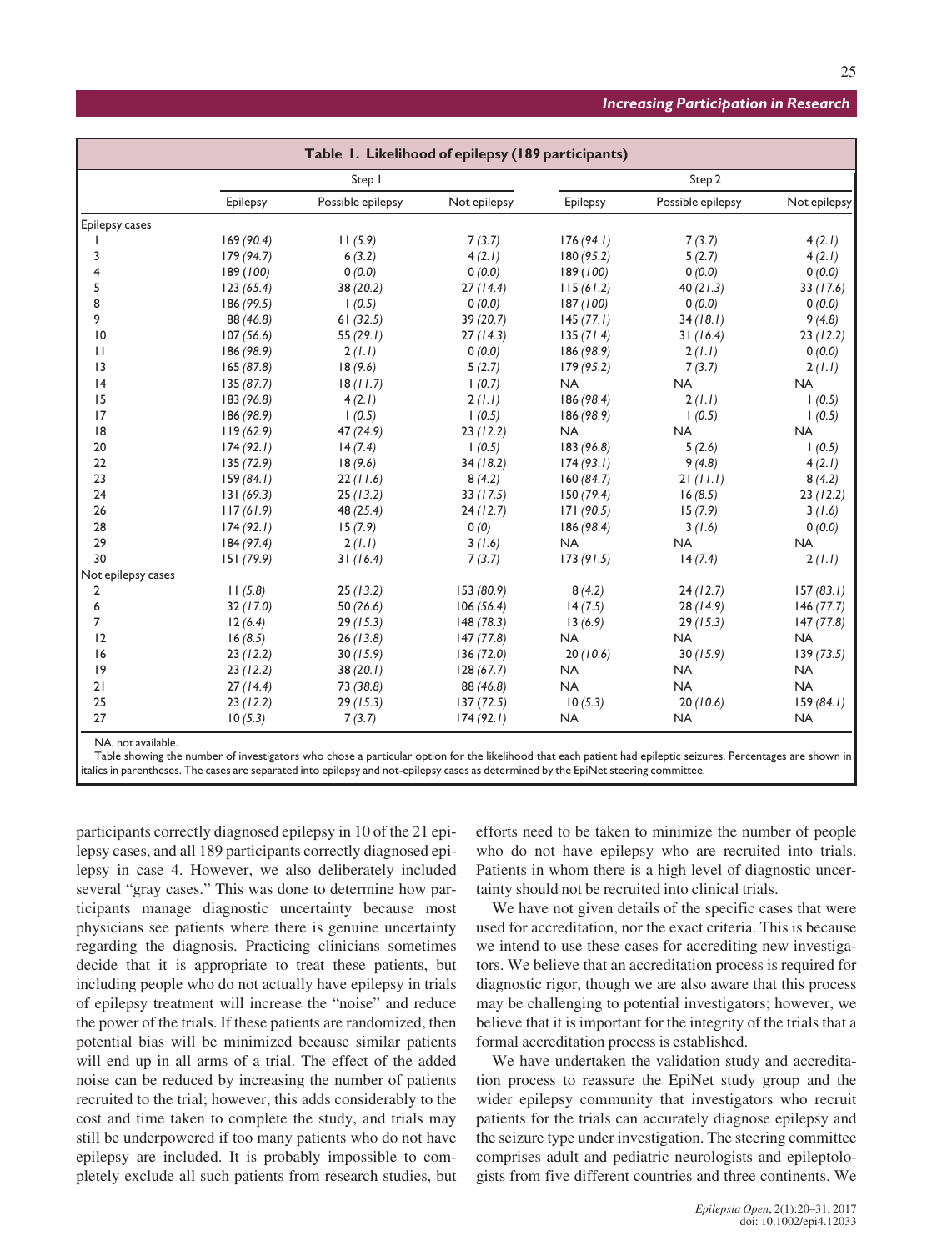|                       |            | Step I            |              |            | Step 2            |              |
|-----------------------|------------|-------------------|--------------|------------|-------------------|--------------|
|                       | Epilepsy   | Possible epilepsy | Not epilepsy | Epilepsy   | Possible epilepsy | Not epilepsy |
| <b>Epilepsy cases</b> |            |                   |              |            |                   |              |
|                       | 169(90.4)  | 11(5.9)           | 7(3.7)       | 176(94.1)  | 7(3.7)            | 4(2.1)       |
| 3                     | 179 (94.7) | 6(3.2)            | 4(2.1)       | 180(95.2)  | 5(2.7)            | 4(2.1)       |
| 4                     | 189 (100)  | 0(0.0)            | 0(0.0)       | 189 (100)  | 0(0.0)            | 0(0.0)       |
| 5                     | 123(65.4)  | 38(20.2)          | 27(14.4)     | 115(61.2)  | 40(21.3)          | 33(17.6)     |
| 8                     | 186(99.5)  | 1(0.5)            | 0(0.0)       | 187(100)   | 0(0.0)            | 0(0.0)       |
| 9                     | 88 (46.8)  | 61(32.5)          | 39(20.7)     | 145(77.1)  | 34(18.1)          | 9(4.8)       |
| $\overline{10}$       | 107(56.6)  | 55(29.1)          | 27(14.3)     | 135(71.4)  | 31(16.4)          | 23(12.2)     |
| $\mathbf{H}$          | 186 (98.9) | 2(1.1)            | 0(0.0)       | 186 (98.9) | 2(1.1)            | 0(0.0)       |
| 3                     | 165(87.8)  | 18(9.6)           | 5(2.7)       | 179(95.2)  | 7(3.7)            | 2(1.1)       |
| 4                     | 135(87.7)  | 18(11.7)          | 1(0.7)       | <b>NA</b>  | <b>NA</b>         | <b>NA</b>    |
| 15                    | 183 (96.8) | 4(2.1)            | 2(1.1)       | 186(98.4)  | 2(1.1)            | 1(0.5)       |
| 17                    | 186 (98.9) | 1(0.5)            | 1(0.5)       | 186 (98.9) | 1(0.5)            | 1(0.5)       |
| 8                     | 119(62.9)  | 47(24.9)          | 23(12.2)     | <b>NA</b>  | <b>NA</b>         | <b>NA</b>    |
| 20                    | 174(92.1)  | 14(7.4)           | 1(0.5)       | 183(96.8)  | 5(2.6)            | 1(0.5)       |
| 22                    | 135(72.9)  | 18(9.6)           | 34(18.2)     | 174(93.1)  | 9(4.8)            | 4(2.1)       |
| 23                    | 159(84.1)  | 22(11.6)          | 8(4.2)       | 160(84.7)  | 21(11.1)          | 8(4.2)       |
| 24                    | 131(69.3)  | 25(13.2)          | 33(17.5)     | 150(79.4)  | 16(8.5)           | 23(12.2)     |
| 26                    | 117(61.9)  | 48 (25.4)         | 24(12.7)     | 171(90.5)  | 15(7.9)           | 3(1.6)       |
| 28                    | 174(92.1)  | 15(7.9)           | 0(0)         | 186(98.4)  | 3(1.6)            | 0(0.0)       |
| 29                    | 184(97.4)  | 2(1.1)            | 3(1.6)       | <b>NA</b>  | <b>NA</b>         | <b>NA</b>    |
| 30                    | 151(79.9)  | 31(16.4)          | 7(3.7)       | 173(91.5)  | 14(7.4)           | 2(1.1)       |
| Not epilepsy cases    |            |                   |              |            |                   |              |
| 2                     | 11(5.8)    | 25(13.2)          | 153(80.9)    | 8(4.2)     | 24(12.7)          | 157(83.1)    |
| 6                     | 32(17.0)   | 50(26.6)          | 106(56.4)    | 14(7.5)    | 28(14.9)          | 146(77.7)    |
| 7                     | 12(6.4)    | 29(15.3)          | 148(78.3)    | 13(6.9)    | 29(15.3)          | 147(77.8)    |
| 12                    | 16(8.5)    | 26(13.8)          | 147(77.8)    | <b>NA</b>  | <b>NA</b>         | <b>NA</b>    |
| 16                    | 23(12.2)   | 30(15.9)          | 136(72.0)    | 20(10.6)   | 30(15.9)          | 139(73.5)    |
| 9                     | 23(12.2)   | 38(20.1)          | 128(67.7)    | <b>NA</b>  | <b>NA</b>         | <b>NA</b>    |
| 21                    | 27(14.4)   | 73 (38.8)         | 88 (46.8)    | <b>NA</b>  | <b>NA</b>         | <b>NA</b>    |
| 25                    | 23(12.2)   | 29(15.3)          | 137(72.5)    | 10(5.3)    | 20(10.6)          | 159(84.1)    |
| 27                    | 10(5.3)    | 7(3.7)            | 174(92.1)    | <b>NA</b>  | <b>NA</b>         | <b>NA</b>    |

NA, not available.

Table showing the number of investigators who chose a particular option for the likelihood that each patient had epileptic seizures. Percentages are shown in talics in parentheses. The cases are separated into epilepsy and not-epilepsy cases as determined by the EpiNet steering committee.

participants correctly diagnosed epilepsy in 10 of the 21 epilepsy cases, and all 189 participants correctly diagnosed epilepsy in case 4. However, we also deliberately included several "gray cases." This was done to determine how participants manage diagnostic uncertainty because most physicians see patients where there is genuine uncertainty regarding the diagnosis. Practicing clinicians sometimes decide that it is appropriate to treat these patients, but including people who do not actually have epilepsy in trials of epilepsy treatment will increase the "noise" and reduce the power of the trials. If these patients are randomized, then potential bias will be minimized because similar patients will end up in all arms of a trial. The effect of the added noise can be reduced by increasing the number of patients recruited to the trial; however, this adds considerably to the cost and time taken to complete the study, and trials may still be underpowered if too many patients who do not have epilepsy are included. It is probably impossible to completely exclude all such patients from research studies, but

efforts need to be taken to minimize the number of people who do not have epilepsy who are recruited into trials. Patients in whom there is a high level of diagnostic uncertainty should not be recruited into clinical trials.

We have not given details of the specific cases that were used for accreditation, nor the exact criteria. This is because we intend to use these cases for accrediting new investigators. We believe that an accreditation process is required for diagnostic rigor, though we are also aware that this process may be challenging to potential investigators; however, we believe that it is important for the integrity of the trials that a formal accreditation process is established.

We have undertaken the validation study and accreditation process to reassure the EpiNet study group and the wider epilepsy community that investigators who recruit patients for the trials can accurately diagnose epilepsy and the seizure type under investigation. The steering committee comprises adult and pediatric neurologists and epileptologists from five different countries and three continents. We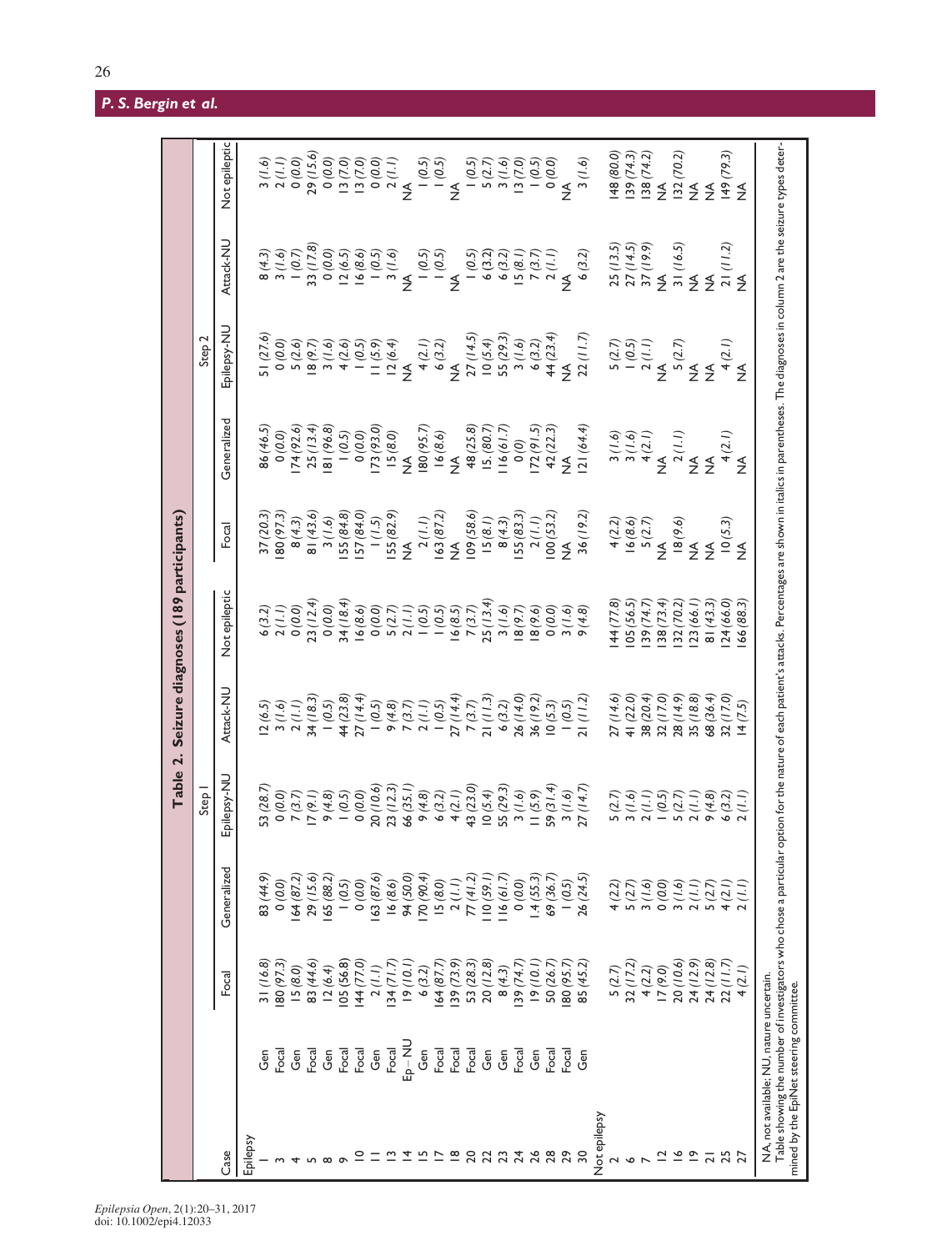|                                         |                                          |           |                     | <u>2</u><br>Table<br>Step <sup>1</sup>                                                                            |                                                                                                                                                                                                                                                                                                                | Seizure diagnoses (189 participants)                                                                                                                                                                                                                                                                                                                                                                                                                                                 |                                                                                                                                                                                                                                                                                                   |                                                                                                                                                                   | Step <sub>2</sub>                                                                                           |                                                                            |                                                                              |
|-----------------------------------------|------------------------------------------|-----------|---------------------|-------------------------------------------------------------------------------------------------------------------|----------------------------------------------------------------------------------------------------------------------------------------------------------------------------------------------------------------------------------------------------------------------------------------------------------------|--------------------------------------------------------------------------------------------------------------------------------------------------------------------------------------------------------------------------------------------------------------------------------------------------------------------------------------------------------------------------------------------------------------------------------------------------------------------------------------|---------------------------------------------------------------------------------------------------------------------------------------------------------------------------------------------------------------------------------------------------------------------------------------------------|-------------------------------------------------------------------------------------------------------------------------------------------------------------------|-------------------------------------------------------------------------------------------------------------|----------------------------------------------------------------------------|------------------------------------------------------------------------------|
| Case                                    |                                          | Focal     | Generalized         | Epilepsy-NU                                                                                                       | Attack-NU                                                                                                                                                                                                                                                                                                      | Not epileptic                                                                                                                                                                                                                                                                                                                                                                                                                                                                        | Focal                                                                                                                                                                                                                                                                                             | Generalized                                                                                                                                                       | Epilepsy-NU                                                                                                 | Attack-NU                                                                  | Not epileptic                                                                |
| Epilepsy                                |                                          |           |                     |                                                                                                                   |                                                                                                                                                                                                                                                                                                                |                                                                                                                                                                                                                                                                                                                                                                                                                                                                                      |                                                                                                                                                                                                                                                                                                   |                                                                                                                                                                   |                                                                                                             |                                                                            |                                                                              |
|                                         | မြစ်                                     | 31(16.8)  | 83 (44.9)           | 53(28.7)                                                                                                          |                                                                                                                                                                                                                                                                                                                | $\begin{array}{l} \mathcal{L}_1 \cup \mathcal{L}_2 \cup \mathcal{L}_3 \cup \mathcal{L}_4 \cup \mathcal{L}_5 \cup \mathcal{L}_6 \cup \mathcal{L}_7 \cup \mathcal{L}_8 \cup \mathcal{L}_7 \cup \mathcal{L}_8 \cup \mathcal{L}_9 \cup \mathcal{L}_9 \cup \mathcal{L}_9 \cup \mathcal{L}_1 \cup \mathcal{L}_1 \cup \mathcal{L}_2 \cup \mathcal{L}_3 \cup \mathcal{L}_3 \cup \mathcal{L}_4 \cup \mathcal{L}_5 \cup \mathcal{L}_6 \cup \mathcal{L}_7 \cup \mathcal{L}_7 \cup \mathcal{L}_$ |                                                                                                                                                                                                                                                                                                   | 86 (46.5)                                                                                                                                                         | 51 (27.6)<br>0 (0.0)                                                                                        |                                                                            |                                                                              |
|                                         | Focal                                    | 80 (97.3) | 0(0.0)              |                                                                                                                   |                                                                                                                                                                                                                                                                                                                |                                                                                                                                                                                                                                                                                                                                                                                                                                                                                      |                                                                                                                                                                                                                                                                                                   | $0 \, (0.0)$                                                                                                                                                      |                                                                                                             |                                                                            |                                                                              |
|                                         | Gen                                      | 15(8.0)   | 64 (87.2            | $0 (0.0)$<br>$7 (3.7)$                                                                                            |                                                                                                                                                                                                                                                                                                                |                                                                                                                                                                                                                                                                                                                                                                                                                                                                                      |                                                                                                                                                                                                                                                                                                   | 74(92.6)                                                                                                                                                          |                                                                                                             |                                                                            |                                                                              |
|                                         | Focal                                    | 83 (44.6  | 29 (15.6)           |                                                                                                                   |                                                                                                                                                                                                                                                                                                                |                                                                                                                                                                                                                                                                                                                                                                                                                                                                                      |                                                                                                                                                                                                                                                                                                   |                                                                                                                                                                   |                                                                                                             |                                                                            |                                                                              |
|                                         | Gen                                      | 12(6.4)   | 65 (88.2)           |                                                                                                                   |                                                                                                                                                                                                                                                                                                                |                                                                                                                                                                                                                                                                                                                                                                                                                                                                                      |                                                                                                                                                                                                                                                                                                   |                                                                                                                                                                   |                                                                                                             |                                                                            |                                                                              |
|                                         | Focal                                    | 05 (56.8) | (0.5)               | $\begin{array}{l} 17 (9.1) \\ 9 (4.8) \\ 9 (0.5) \\ 0 (0.0) \end{array}$                                          | $\begin{array}{l} (2,0) \ (3,0) \ (3,0) \ (3,0) \ (3,0) \ (3,0) \ (3,0) \ (3,0) \ (3,0) \ (3,0) \ (3,0) \ (3,0) \ (3,0) \ (3,0) \ (3,0) \ (3,0) \ (3,0) \ (3,0) \ (3,0) \ (3,0) \ (3,0) \ (3,0) \ (3,0) \ (3,0) \ (3,0) \ (3,0) \ (3,0) \ (3,0) \ (3,0) \ (3,0) \ (3,0) \ (3,0) \ (3,0) \ (3,0) \ (3,0) \ (3,$ |                                                                                                                                                                                                                                                                                                                                                                                                                                                                                      |                                                                                                                                                                                                                                                                                                   |                                                                                                                                                                   |                                                                                                             |                                                                            |                                                                              |
|                                         | Focal                                    | 44(77.0)  | 0(0.0)              |                                                                                                                   |                                                                                                                                                                                                                                                                                                                |                                                                                                                                                                                                                                                                                                                                                                                                                                                                                      |                                                                                                                                                                                                                                                                                                   |                                                                                                                                                                   |                                                                                                             |                                                                            |                                                                              |
|                                         | Gen                                      | 2(1.1)    | 63 (87.6)           | $20(10.6)$<br>$23(12.3)$<br>$66(35.1)$                                                                            |                                                                                                                                                                                                                                                                                                                |                                                                                                                                                                                                                                                                                                                                                                                                                                                                                      |                                                                                                                                                                                                                                                                                                   |                                                                                                                                                                   |                                                                                                             |                                                                            |                                                                              |
|                                         | Focal                                    | 34(71.7)  | 16(8.6)             |                                                                                                                   |                                                                                                                                                                                                                                                                                                                |                                                                                                                                                                                                                                                                                                                                                                                                                                                                                      |                                                                                                                                                                                                                                                                                                   |                                                                                                                                                                   |                                                                                                             |                                                                            |                                                                              |
|                                         | $Ep - NU$                                | 19(10.1)  | 94 (50.0)           |                                                                                                                   |                                                                                                                                                                                                                                                                                                                |                                                                                                                                                                                                                                                                                                                                                                                                                                                                                      |                                                                                                                                                                                                                                                                                                   |                                                                                                                                                                   |                                                                                                             |                                                                            |                                                                              |
|                                         | Gen                                      | 6(3.2)    | 70(90.4)            |                                                                                                                   |                                                                                                                                                                                                                                                                                                                |                                                                                                                                                                                                                                                                                                                                                                                                                                                                                      |                                                                                                                                                                                                                                                                                                   |                                                                                                                                                                   |                                                                                                             |                                                                            |                                                                              |
|                                         | Focal                                    | 64 (87.7  |                     |                                                                                                                   |                                                                                                                                                                                                                                                                                                                |                                                                                                                                                                                                                                                                                                                                                                                                                                                                                      |                                                                                                                                                                                                                                                                                                   |                                                                                                                                                                   |                                                                                                             |                                                                            |                                                                              |
|                                         | Focal                                    | 39 (73.9) | $15(8.0)$<br>2(1.1) |                                                                                                                   |                                                                                                                                                                                                                                                                                                                |                                                                                                                                                                                                                                                                                                                                                                                                                                                                                      |                                                                                                                                                                                                                                                                                                   |                                                                                                                                                                   |                                                                                                             |                                                                            |                                                                              |
| 20                                      | Focal                                    | 53 (28.3) | 77(41.2)            | 9 (4.8)<br>6 (3.2)<br>6 (2.1)<br>4 (2.3.0)<br>4 (2.3.3)<br>5 (29.3)<br>5 (29.3)                                   |                                                                                                                                                                                                                                                                                                                |                                                                                                                                                                                                                                                                                                                                                                                                                                                                                      |                                                                                                                                                                                                                                                                                                   |                                                                                                                                                                   |                                                                                                             |                                                                            |                                                                              |
| 22                                      | Gen                                      | 20(12.8)  | 110(59.1)           |                                                                                                                   |                                                                                                                                                                                                                                                                                                                |                                                                                                                                                                                                                                                                                                                                                                                                                                                                                      |                                                                                                                                                                                                                                                                                                   |                                                                                                                                                                   |                                                                                                             |                                                                            |                                                                              |
| 23                                      | Gen                                      | 8(4.3)    | 16(61.7)            |                                                                                                                   |                                                                                                                                                                                                                                                                                                                |                                                                                                                                                                                                                                                                                                                                                                                                                                                                                      |                                                                                                                                                                                                                                                                                                   |                                                                                                                                                                   |                                                                                                             |                                                                            |                                                                              |
| $\overline{24}$                         | Focal                                    | 39 (74.7  | 0(0.0)              |                                                                                                                   |                                                                                                                                                                                                                                                                                                                |                                                                                                                                                                                                                                                                                                                                                                                                                                                                                      |                                                                                                                                                                                                                                                                                                   |                                                                                                                                                                   |                                                                                                             |                                                                            |                                                                              |
| 26                                      | Gen                                      | 19(10.1)  | .4(55.3)            |                                                                                                                   |                                                                                                                                                                                                                                                                                                                |                                                                                                                                                                                                                                                                                                                                                                                                                                                                                      |                                                                                                                                                                                                                                                                                                   |                                                                                                                                                                   |                                                                                                             |                                                                            |                                                                              |
| 28                                      | Focal                                    | 50 (26.7  | 69 (36.7            |                                                                                                                   |                                                                                                                                                                                                                                                                                                                |                                                                                                                                                                                                                                                                                                                                                                                                                                                                                      |                                                                                                                                                                                                                                                                                                   |                                                                                                                                                                   |                                                                                                             |                                                                            |                                                                              |
|                                         | Focal                                    | 80 (95.7) | (0.5)               |                                                                                                                   |                                                                                                                                                                                                                                                                                                                |                                                                                                                                                                                                                                                                                                                                                                                                                                                                                      |                                                                                                                                                                                                                                                                                                   |                                                                                                                                                                   |                                                                                                             |                                                                            |                                                                              |
| 30                                      | မြစ်                                     | 85 (45.2) | 26 (24.5)           | $\begin{array}{c} 3 (1.6) \\ 11 (5.9) \\ 59 (31.4) \\ 3 (1.6) \\ 27 (14.7) \end{array}$                           |                                                                                                                                                                                                                                                                                                                |                                                                                                                                                                                                                                                                                                                                                                                                                                                                                      | $\begin{array}{l} 37 (20.3) \\ 180 (97.3) \\ 180 (91.3) \\ 181 (43.6) \\ 151 (43.6) \\ 151 (43.6) \\ 151 (43.6) \\ 152 (43.6) \\ 153 (43.6) \\ 154 (43.6) \\ 155 (43.6) \\ 156 (43.6) \\ 157 (43.6) \\ 158 (43.6) \\ 159 (43.6) \\ 150 (43.6) \\ 151 (43.6) \\ 152 (43.6) \\ 153 (43.6) \\ 154 ($ |                                                                                                                                                                   |                                                                                                             |                                                                            | 3103900001 500 500900 3<br>1109000101 600 600000 500<br>110000001014-4-5-5-5 |
| Not epilepsy                            |                                          |           |                     |                                                                                                                   |                                                                                                                                                                                                                                                                                                                |                                                                                                                                                                                                                                                                                                                                                                                                                                                                                      |                                                                                                                                                                                                                                                                                                   |                                                                                                                                                                   |                                                                                                             |                                                                            |                                                                              |
| $\sim$                                  |                                          | 5(2.7)    | 4(2.2)              | 5(2.7)                                                                                                            | $27 (14.6)$ $41 (22.0)$ $38 (20.4)$ $32 (17.0)$ $28 (14.9)$ $28 (14.9)$ $58 (18.0)$ $58 (17.0)$ $58 (17.0)$ $14 (7.5)$                                                                                                                                                                                         | 44 (77.8)                                                                                                                                                                                                                                                                                                                                                                                                                                                                            | $4 (2.2)$<br>$16 (8.6)$<br>$16 (8.7)$<br>$16 (9.6)$<br>$16 (9.6)$<br>$16 (9.6)$<br>$16 (9.3)$<br>$16 (9.3)$<br>$16 (9.4)$                                                                                                                                                                         | $(3, 0, 1)$<br>$(7, 0, 1)$<br>$(7, 0, 1)$<br>$(7, 0, 1)$<br>$(7, 0, 1)$<br>$(7, 0, 1)$<br>$(7, 0, 1)$<br>$(7, 0, 1)$<br>$(7, 0, 1)$<br>$(7, 0, 1)$<br>$(7, 0, 1)$ | $5 (2.7)$<br>$-1 (0.5)$<br>$-2 (1.1)$<br>$-1 (2.7)$<br>$-1 (2.7)$<br>$-1 (2.7)$<br>$-1 (2.7)$<br>$-1 (2.7)$ | 25 (13.5)<br>27 (14.5)<br>27 (19.9)<br>37 (19.5)<br>21 (11.2)<br>21 (11.2) | 48 (80.0)                                                                    |
|                                         |                                          | 32(17.2)  | 5(2.7)              | 3(1.6)                                                                                                            |                                                                                                                                                                                                                                                                                                                | 05 (56.5)                                                                                                                                                                                                                                                                                                                                                                                                                                                                            |                                                                                                                                                                                                                                                                                                   |                                                                                                                                                                   |                                                                                                             |                                                                            |                                                                              |
|                                         |                                          | 4(2.2)    | 3(1.6)              |                                                                                                                   |                                                                                                                                                                                                                                                                                                                | 39 (74.7)                                                                                                                                                                                                                                                                                                                                                                                                                                                                            |                                                                                                                                                                                                                                                                                                   |                                                                                                                                                                   |                                                                                                             |                                                                            | 139 (74.3)<br>138 (74.2)<br>NA                                               |
|                                         |                                          | 17(9.0)   | 0(0.0)              |                                                                                                                   |                                                                                                                                                                                                                                                                                                                | 138(73.4)                                                                                                                                                                                                                                                                                                                                                                                                                                                                            |                                                                                                                                                                                                                                                                                                   |                                                                                                                                                                   |                                                                                                             |                                                                            |                                                                              |
| $\tilde{=}$                             |                                          | 20(10.6)  | 3(1.6)              |                                                                                                                   |                                                                                                                                                                                                                                                                                                                |                                                                                                                                                                                                                                                                                                                                                                                                                                                                                      |                                                                                                                                                                                                                                                                                                   |                                                                                                                                                                   |                                                                                                             |                                                                            |                                                                              |
| $\tilde{=}$                             |                                          | 24 (12.9) | 2(l.1)              | $2(1, 2, 3, 7)$<br>$2(0, 5, 7, 7)$<br>$3(0, 1, 2, 3, 7)$<br>$4(0, 5, 7, 7)$<br>$5(0, 1, 7, 7)$<br>$6(0, 1, 7, 7)$ |                                                                                                                                                                                                                                                                                                                | $\begin{array}{c} 132 (70.2) \\ 123 (66.1) \\ 81 (43.3) \\ 124 (66.0) \end{array}$                                                                                                                                                                                                                                                                                                                                                                                                   |                                                                                                                                                                                                                                                                                                   |                                                                                                                                                                   |                                                                                                             |                                                                            | 32 (70.2)<br>NA<br>NA<br> 49 (79.3)<br>NA                                    |
| $\overline{z}$                          |                                          | 24(12.8)  | 5(2.7)              |                                                                                                                   |                                                                                                                                                                                                                                                                                                                |                                                                                                                                                                                                                                                                                                                                                                                                                                                                                      |                                                                                                                                                                                                                                                                                                   |                                                                                                                                                                   |                                                                                                             |                                                                            |                                                                              |
| 25                                      |                                          | 22(11.7)  | 4(2.1)              |                                                                                                                   |                                                                                                                                                                                                                                                                                                                |                                                                                                                                                                                                                                                                                                                                                                                                                                                                                      |                                                                                                                                                                                                                                                                                                   |                                                                                                                                                                   | $4(2.1)$<br>NA                                                                                              |                                                                            |                                                                              |
| 27                                      |                                          | 4(2.1)    |                     |                                                                                                                   |                                                                                                                                                                                                                                                                                                                | (88.3)<br>66                                                                                                                                                                                                                                                                                                                                                                                                                                                                         |                                                                                                                                                                                                                                                                                                   |                                                                                                                                                                   |                                                                                                             |                                                                            |                                                                              |
| mined by the EpiNet steering committee. | NA, not available; NU, nature uncertain. |           |                     |                                                                                                                   |                                                                                                                                                                                                                                                                                                                | Table showing the number of investigators who chose a particular option for the nature of each pattient's attacks. Percentages are shown in italics in parentheses. The diagnoses in column 2 are the seizure types deter-                                                                                                                                                                                                                                                           |                                                                                                                                                                                                                                                                                                   |                                                                                                                                                                   |                                                                                                             |                                                                            |                                                                              |
|                                         |                                          |           |                     |                                                                                                                   |                                                                                                                                                                                                                                                                                                                |                                                                                                                                                                                                                                                                                                                                                                                                                                                                                      |                                                                                                                                                                                                                                                                                                   |                                                                                                                                                                   |                                                                                                             |                                                                            |                                                                              |

26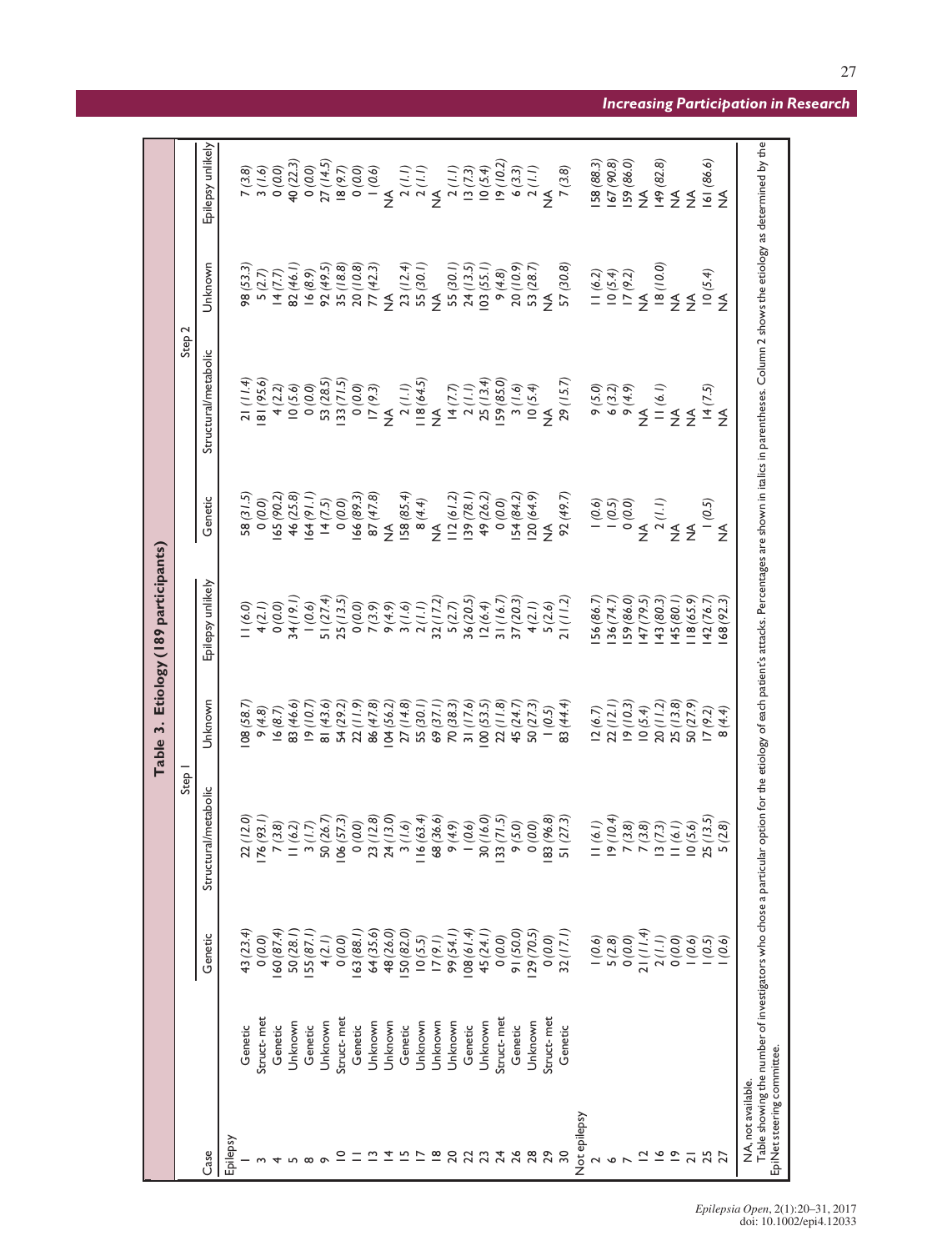|                                                  |            |           |                                                             |                        | Table 3. Etiology (189 participants) |                                                     |                                                                                                                                                                                                                       |                                                                                                                                                          |                                 |
|--------------------------------------------------|------------|-----------|-------------------------------------------------------------|------------------------|--------------------------------------|-----------------------------------------------------|-----------------------------------------------------------------------------------------------------------------------------------------------------------------------------------------------------------------------|----------------------------------------------------------------------------------------------------------------------------------------------------------|---------------------------------|
|                                                  |            |           | Step <sup>1</sup>                                           |                        |                                      |                                                     | Step <sub>2</sub>                                                                                                                                                                                                     |                                                                                                                                                          |                                 |
| Case                                             |            | Genetic   | Structural/metabolic                                        | Jnknown                | Epilepsy unlikely                    | Genetic                                             | Structural/metabolic                                                                                                                                                                                                  | Unknown                                                                                                                                                  | Epilepsy unlikely               |
| Epilepsy                                         |            |           |                                                             |                        |                                      |                                                     |                                                                                                                                                                                                                       |                                                                                                                                                          |                                 |
|                                                  | Genetic    | 43(23.4)  | 22 (12.0)                                                   | 08 (58.7)              | 1   (6.0)                            | 58(31.5)                                            | 21(11.4)                                                                                                                                                                                                              | 98 (53.3)                                                                                                                                                | 7(3.8)                          |
|                                                  | Struct-met | (0.0)     |                                                             | 9(4.8)                 | 4(2.1)                               | O(O.O)                                              | 81 (95.6)                                                                                                                                                                                                             |                                                                                                                                                          | 3(1.6)                          |
|                                                  | Genetic    | 60 (87.4) | $176 (93.1)$<br>$7 (3.8)$                                   | 16(8.7)                | (0.0)0                               | 65 (90.2)                                           | 4(2.2)                                                                                                                                                                                                                | $5(2.7)$<br>14(7.7)                                                                                                                                      | 0(0.0)                          |
|                                                  | Unknown    | 50 (28.1  | 11(6.2)                                                     | 83 (46.6)              | 34(19.1)                             | 46 (25.8)                                           | 10(5.6)                                                                                                                                                                                                               | 82 (46.1)                                                                                                                                                | 40 (22.3)                       |
|                                                  | Genetic    | 155(87.1) | 3(1.7)                                                      | 19(10.7)               | (0.6)                                | 164(91.1)                                           | 0(0.0)                                                                                                                                                                                                                | 16(8.9)                                                                                                                                                  | 0(0.0)                          |
|                                                  | Unknown    | 4(2.1)    | 50 (26.7)                                                   | 81 (43.6)              |                                      | 14(7.5)                                             | 53 (28.5)                                                                                                                                                                                                             | 92 (49.5)                                                                                                                                                | 27(14.5)                        |
|                                                  | Struct-met | 0(0.0)    | 106(57.3)                                                   | 54 (29.2)              | 51 (27.4)<br>25 (13.5)               | 0(0.0)                                              | 133(71.5)                                                                                                                                                                                                             |                                                                                                                                                          | 18(9.7)                         |
|                                                  | Genetic    | 163 (88.1 |                                                             | 22(11.9)               |                                      |                                                     |                                                                                                                                                                                                                       |                                                                                                                                                          | 0(0.0)                          |
|                                                  | Unknown    | 64 (35.6) | $\begin{array}{c} 0 & (0.0) \\ 23 & (12.8) \end{array}$     | 86 (47.8)              | $0 (0.0)$<br>7 (3.9)<br>9 (4.9)      | $166 (89.3)$<br>87 (47.8)                           | $\begin{pmatrix} 0 & 0 & 0 \\ 1 & 7 & 6 & 3 \end{pmatrix}$                                                                                                                                                            | 35 (18.8)<br>20 (10.8)<br>20 (14.3)<br>77 (42.3)<br>23 (12.4)<br>55 (30.1)<br>24 (14                                                                     | (0.6)                           |
|                                                  | Unknown    | 48 (26.0) | 24(13.0)                                                    | 104(56.2)              |                                      | $\lessgtr$                                          | NA<br>$2 (1.1)$<br>$118 (64.5)$<br>NA                                                                                                                                                                                 |                                                                                                                                                          | NA<br>$2 (1.1)$<br>$2 (1.1)$    |
|                                                  | Genetic    | 50 (82.0) | 3(1.6)                                                      | 27(14.8)               | $3(1.6)$<br>2(1.1)                   | 158 (85.4)                                          |                                                                                                                                                                                                                       |                                                                                                                                                          |                                 |
|                                                  | Unknown    | 10(5.5)   | II6 (63.4)<br>68 (36.6)                                     | 55 (30.1)              |                                      | 8(4.4)                                              |                                                                                                                                                                                                                       |                                                                                                                                                          |                                 |
| ≌                                                | Unknown    | 17(9.1)   |                                                             | 69(37.1)               | 32(17.2)                             | $\frac{1}{2}$                                       |                                                                                                                                                                                                                       |                                                                                                                                                          | $\frac{1}{2}$                   |
| 20                                               | Unknown    | 99 (54.1  | 9(4.9)                                                      | 70 (38.3)              | 5(2.7)                               | 112(61.2)                                           |                                                                                                                                                                                                                       | 55(30.1)                                                                                                                                                 | 2(l, l)                         |
| 22                                               | Genetic    | 08(61.4)  | 1(0.6)                                                      | 31(17.6)               | 36 (20.5)                            | 139(78.1)                                           |                                                                                                                                                                                                                       | $24(13.5)$<br>103 (55.1)                                                                                                                                 | 13(7.3)                         |
| 23                                               | Unknown    | 45 (24.1) | 30(16.0)                                                    | 100(53.5)              | 12(6.4)                              | 49 (26.2)                                           |                                                                                                                                                                                                                       |                                                                                                                                                          | 10(5.4)                         |
| $\overline{24}$                                  | Struct-met | 0(0.0)    | 133(71.5)                                                   | 22(11.8)               | 31(16.7)                             | 0(0.0)                                              |                                                                                                                                                                                                                       |                                                                                                                                                          | 19(10.2)                        |
| 26                                               | Genetic    | 91 (50.0) | 9(5.0)                                                      | 45 (24.7)              | 37 (20.3)                            |                                                     |                                                                                                                                                                                                                       |                                                                                                                                                          | 6(3.3)                          |
| 28                                               | Jnknown    | 29 (70.5) | 0(0.0)                                                      | 50 (27.3)              | $4 (2.1)$<br>5(2.6)                  | I54 (84.2)<br>I20 (64.9)                            |                                                                                                                                                                                                                       |                                                                                                                                                          | 2(l.l)                          |
| 29                                               | Struct-met | 0(0.0)    | 83 (96.8)                                                   | (0.5)                  |                                      | $\frac{3}{2}$                                       |                                                                                                                                                                                                                       |                                                                                                                                                          |                                 |
| 30                                               | Genetic    | 32(17.1)  | 51 (27.3)                                                   | 83 (44.4)              | 21(11.2)                             | 92 (49.7)                                           | 14 (7.7)<br>2 (1.1)<br>2 (13.4)<br>159 (85.0)<br>10 (5.4)<br>10 (5.4)<br>2 (15.7)                                                                                                                                     | 9 (4.8)<br>20 (10.9)<br>53 (28.7)<br>NA<br>57 (30.8)                                                                                                     | 7(3.8)                          |
| Not epilepsy                                     |            |           |                                                             |                        |                                      |                                                     |                                                                                                                                                                                                                       |                                                                                                                                                          |                                 |
|                                                  |            | (0.6)     | 11(6.1)                                                     | 12(6.7)                | 56 (86.7)                            |                                                     |                                                                                                                                                                                                                       |                                                                                                                                                          | 58 (88.3)                       |
| ∘                                                |            | 5(2.8)    |                                                             | 22 (12.1)<br>19 (10.3) | 36 (74.7)                            |                                                     |                                                                                                                                                                                                                       |                                                                                                                                                          | 67(90.8)                        |
|                                                  |            | 0(0.0)    | $\begin{array}{c} 19(10.4) \\ 7(3.8) \\ 7(3.8) \end{array}$ |                        | 159 (86.0)                           | $1 (0.5)$<br>$1 (0.5)$<br>$0 (0.0)$                 | $9(5.0)$<br>$6(3.2)$<br>$9(4.9)$                                                                                                                                                                                      |                                                                                                                                                          | 159 (86.0)                      |
|                                                  |            | 21(11.4)  |                                                             | 10(5.4)                | 47 (79.5)                            | $M_{\lambda}^{2}$                                   |                                                                                                                                                                                                                       |                                                                                                                                                          |                                 |
| $\tilde{=}$                                      |            | 2(l.1)    | 13(7.3)                                                     | 20 (11.2)              | 43 (80.3)                            |                                                     |                                                                                                                                                                                                                       |                                                                                                                                                          |                                 |
| $\tilde{=}$                                      |            | (0.0)     | 11(6.1)                                                     | 25 (13.8)<br>50 (27.9) | 45 (80.1)                            |                                                     |                                                                                                                                                                                                                       |                                                                                                                                                          | NA<br>149 (82.8)<br>14 A<br>2 A |
| $\overline{2}$                                   |            | (0.6)     | 10(5.6)                                                     |                        | 18(65.9)                             |                                                     |                                                                                                                                                                                                                       |                                                                                                                                                          |                                 |
| 25                                               |            | (0.5)     | 25(13.5)                                                    | 17(9.2)                | 42(76.7)                             | $\begin{array}{c}\n 4x - 4 \\  2x - 4\n\end{array}$ | $4 = 4$<br>$5 = 4$<br>$6 = 5$<br>$2 = 5$<br>$4 = 5$<br>$4 = 6$                                                                                                                                                        | $2(4, 2)$<br>$2(5, 4)$<br>$2(5, 4)$<br>$2(6, 5)$<br>$2(6, 6)$<br>$2(6, 4)$<br>$2(6, 5)$<br>$2(6, 4)$<br>$2(6, 5)$<br>$2(6, 5)$<br>$2(6, 5)$<br>$2(6, 5)$ | (61.66.6)                       |
| 27                                               |            | (0.6)     | 5(2.8)                                                      | 8(4.4)                 | 68 (92.3)                            |                                                     |                                                                                                                                                                                                                       |                                                                                                                                                          | $\frac{4}{2}$                   |
| EpiNet steering committee.<br>NA, not available. |            |           |                                                             |                        |                                      |                                                     | Table showing the number of investigators who chose a particular option for the etiology of each patient's attacks. Percentages are shown in italics in parentheses. Column 2 shows the etiology as determined by the |                                                                                                                                                          |                                 |

27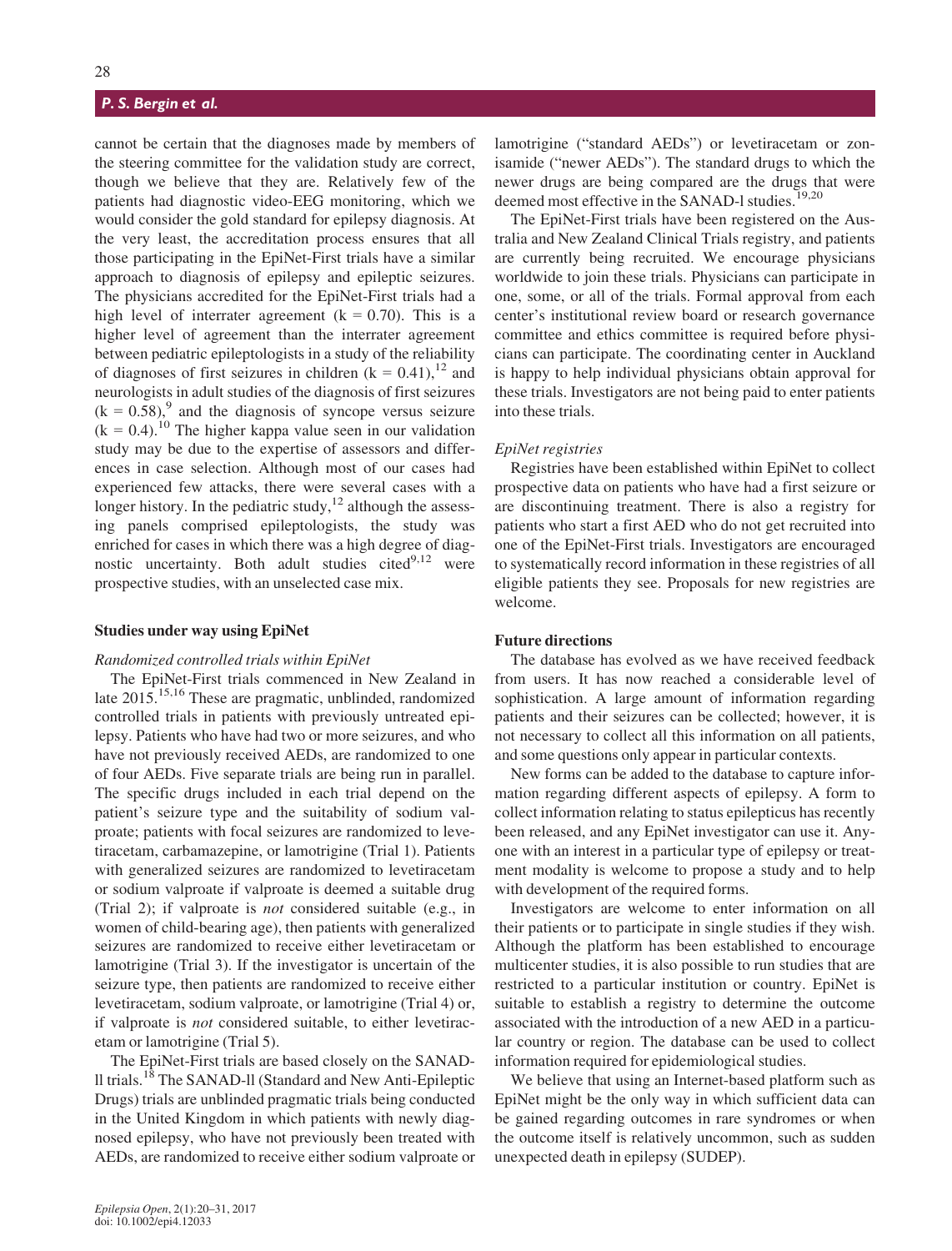cannot be certain that the diagnoses made by members of the steering committee for the validation study are correct, though we believe that they are. Relatively few of the patients had diagnostic video-EEG monitoring, which we would consider the gold standard for epilepsy diagnosis. At the very least, the accreditation process ensures that all those participating in the EpiNet-First trials have a similar approach to diagnosis of epilepsy and epileptic seizures. The physicians accredited for the EpiNet-First trials had a high level of interrater agreement ( $k = 0.70$ ). This is a higher level of agreement than the interrater agreement between pediatric epileptologists in a study of the reliability of diagnoses of first seizures in children  $(k = 0.41)$ , <sup>12</sup> and neurologists in adult studies of the diagnosis of first seizures  $(k = 0.58)$ , and the diagnosis of syncope versus seizure  $(k = 0.4)$ .<sup>10</sup> The higher kappa value seen in our validation study may be due to the expertise of assessors and differences in case selection. Although most of our cases had experienced few attacks, there were several cases with a longer history. In the pediatric study,<sup>12</sup> although the assessing panels comprised epileptologists, the study was enriched for cases in which there was a high degree of diagnostic uncertainty. Both adult studies cited $9,12$  were prospective studies, with an unselected case mix.

### Studies under way using EpiNet

### Randomized controlled trials within EpiNet

The EpiNet-First trials commenced in New Zealand in late 2015.<sup>15,16</sup> These are pragmatic, unblinded, randomized controlled trials in patients with previously untreated epilepsy. Patients who have had two or more seizures, and who have not previously received AEDs, are randomized to one of four AEDs. Five separate trials are being run in parallel. The specific drugs included in each trial depend on the patient's seizure type and the suitability of sodium valproate; patients with focal seizures are randomized to levetiracetam, carbamazepine, or lamotrigine (Trial 1). Patients with generalized seizures are randomized to levetiracetam or sodium valproate if valproate is deemed a suitable drug (Trial 2); if valproate is not considered suitable (e.g., in women of child-bearing age), then patients with generalized seizures are randomized to receive either levetiracetam or lamotrigine (Trial 3). If the investigator is uncertain of the seizure type, then patients are randomized to receive either levetiracetam, sodium valproate, or lamotrigine (Trial 4) or, if valproate is not considered suitable, to either levetiracetam or lamotrigine (Trial 5).

The EpiNet-First trials are based closely on the SANADll trials.<sup>18</sup> The SANAD-ll (Standard and New Anti-Epileptic Drugs) trials are unblinded pragmatic trials being conducted in the United Kingdom in which patients with newly diagnosed epilepsy, who have not previously been treated with AEDs, are randomized to receive either sodium valproate or

The EpiNet-First trials have been registered on the Australia and New Zealand Clinical Trials registry, and patients are currently being recruited. We encourage physicians worldwide to join these trials. Physicians can participate in one, some, or all of the trials. Formal approval from each center's institutional review board or research governance committee and ethics committee is required before physicians can participate. The coordinating center in Auckland is happy to help individual physicians obtain approval for these trials. Investigators are not being paid to enter patients into these trials.

#### EpiNet registries

Registries have been established within EpiNet to collect prospective data on patients who have had a first seizure or are discontinuing treatment. There is also a registry for patients who start a first AED who do not get recruited into one of the EpiNet-First trials. Investigators are encouraged to systematically record information in these registries of all eligible patients they see. Proposals for new registries are welcome.

### Future directions

The database has evolved as we have received feedback from users. It has now reached a considerable level of sophistication. A large amount of information regarding patients and their seizures can be collected; however, it is not necessary to collect all this information on all patients, and some questions only appear in particular contexts.

New forms can be added to the database to capture information regarding different aspects of epilepsy. A form to collect information relating to status epilepticus has recently been released, and any EpiNet investigator can use it. Anyone with an interest in a particular type of epilepsy or treatment modality is welcome to propose a study and to help with development of the required forms.

Investigators are welcome to enter information on all their patients or to participate in single studies if they wish. Although the platform has been established to encourage multicenter studies, it is also possible to run studies that are restricted to a particular institution or country. EpiNet is suitable to establish a registry to determine the outcome associated with the introduction of a new AED in a particular country or region. The database can be used to collect information required for epidemiological studies.

We believe that using an Internet-based platform such as EpiNet might be the only way in which sufficient data can be gained regarding outcomes in rare syndromes or when the outcome itself is relatively uncommon, such as sudden unexpected death in epilepsy (SUDEP).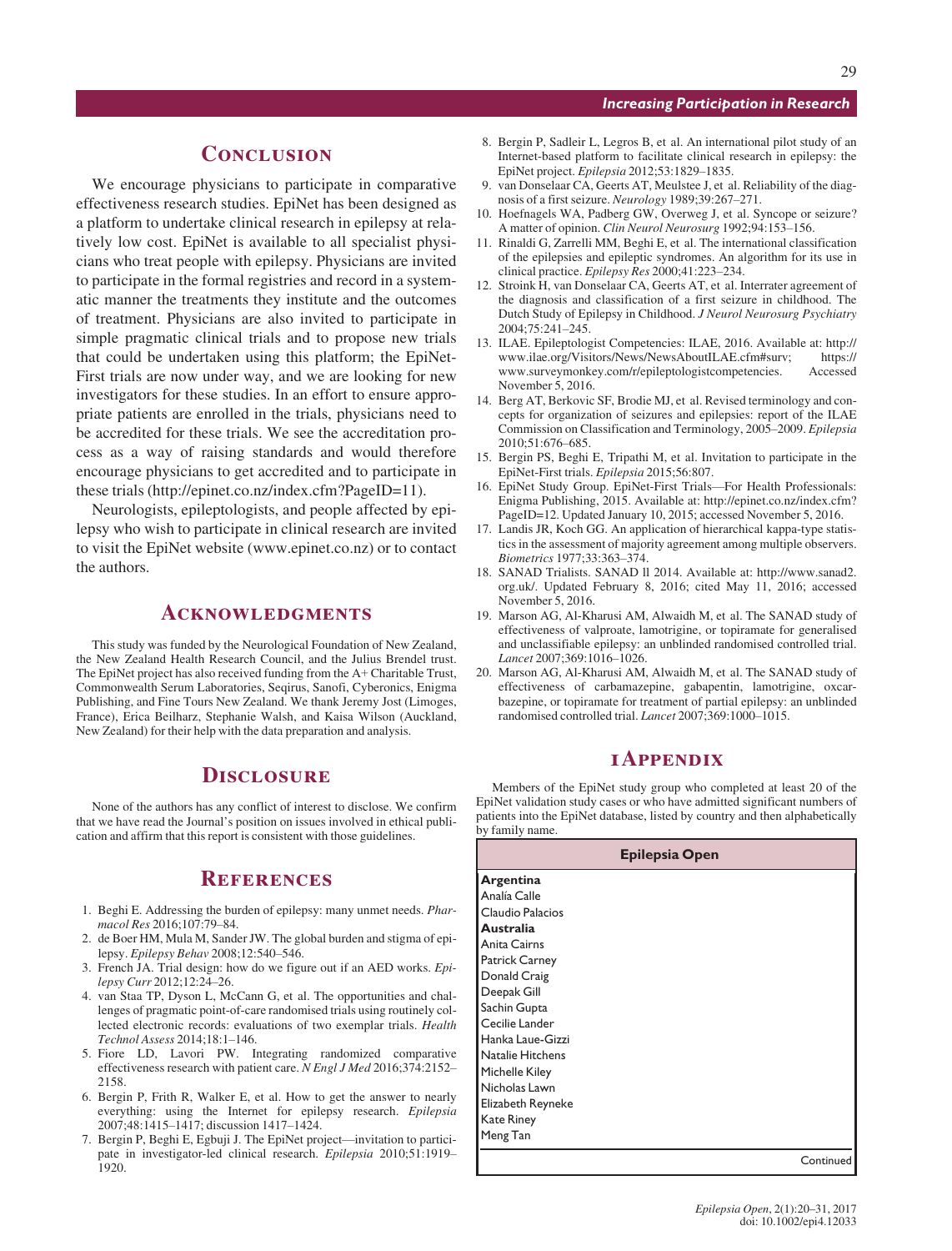# **CONCLUSION**

We encourage physicians to participate in comparative effectiveness research studies. EpiNet has been designed as a platform to undertake clinical research in epilepsy at relatively low cost. EpiNet is available to all specialist physicians who treat people with epilepsy. Physicians are invited to participate in the formal registries and record in a systematic manner the treatments they institute and the outcomes of treatment. Physicians are also invited to participate in simple pragmatic clinical trials and to propose new trials that could be undertaken using this platform; the EpiNet-First trials are now under way, and we are looking for new investigators for these studies. In an effort to ensure appropriate patients are enrolled in the trials, physicians need to be accredited for these trials. We see the accreditation process as a way of raising standards and would therefore encourage physicians to get accredited and to participate in these trials (<http://epinet.co.nz/index.cfm?PageID=11>).

Neurologists, epileptologists, and people affected by epilepsy who wish to participate in clinical research are invited to visit the EpiNet website [\(www.epinet.co.nz\)](http://www.epinet.co.nz) or to contact the authors.

### **ACKNOWLEDGMENTS**

This study was funded by the Neurological Foundation of New Zealand, the New Zealand Health Research Council, and the Julius Brendel trust. The EpiNet project has also received funding from the A+ Charitable Trust, Commonwealth Serum Laboratories, Seqirus, Sanofi, Cyberonics, Enigma Publishing, and Fine Tours New Zealand. We thank Jeremy Jost (Limoges, France), Erica Beilharz, Stephanie Walsh, and Kaisa Wilson (Auckland, New Zealand) for their help with the data preparation and analysis.

# **DISCLOSURE**

None of the authors has any conflict of interest to disclose. We confirm that we have read the Journal's position on issues involved in ethical publication and affirm that this report is consistent with those guidelines.

# **REFERENCES**

- 1. Beghi E. Addressing the burden of epilepsy: many unmet needs. Pharmacol Res 2016;107:79–84.
- 2. de Boer HM, Mula M, Sander JW. The global burden and stigma of epilepsy. Epilepsy Behav 2008;12:540–546.
- 3. French JA. Trial design: how do we figure out if an AED works. Epilepsy Curr 2012;12:24–26.
- 4. van Staa TP, Dyson L, McCann G, et al. The opportunities and challenges of pragmatic point-of-care randomised trials using routinely collected electronic records: evaluations of two exemplar trials. Health Technol Assess 2014;18:1–146.
- 5. Fiore LD, Lavori PW. Integrating randomized comparative effectiveness research with patient care. N Engl J Med 2016;374:2152– 2158.
- 6. Bergin P, Frith R, Walker E, et al. How to get the answer to nearly everything: using the Internet for epilepsy research. Epilepsia 2007;48:1415–1417; discussion 1417–1424.
- 7. Bergin P, Beghi E, Egbuji J. The EpiNet project—invitation to participate in investigator-led clinical research. Epilepsia 2010;51:1919– 1920.
- 8. Bergin P, Sadleir L, Legros B, et al. An international pilot study of an Internet-based platform to facilitate clinical research in epilepsy: the EpiNet project. Epilepsia 2012;53:1829–1835.
- 9. van Donselaar CA, Geerts AT, Meulstee J, et al. Reliability of the diagnosis of a first seizure. Neurology 1989;39:267–271.
- 10. Hoefnagels WA, Padberg GW, Overweg J, et al. Syncope or seizure? A matter of opinion. Clin Neurol Neurosurg 1992;94:153–156.
- 11. Rinaldi G, Zarrelli MM, Beghi E, et al. The international classification of the epilepsies and epileptic syndromes. An algorithm for its use in clinical practice. Epilepsy Res 2000;41:223–234.
- 12. Stroink H, van Donselaar CA, Geerts AT, et al. Interrater agreement of the diagnosis and classification of a first seizure in childhood. The Dutch Study of Epilepsy in Childhood. J Neurol Neurosurg Psychiatry 2004;75:241–245.
- 13. ILAE. Epileptologist Competencies: ILAE, 2016. Available at: [http://](http://www.ilae.org/Visitors/News/NewsAboutILAE.cfm#surv) [www.ilae.org/Visitors/News/NewsAboutILAE.cfm#surv](http://www.ilae.org/Visitors/News/NewsAboutILAE.cfm#surv); [www.surveymonkey.com/r/epileptologistcompetencies.](https://www.surveymonkey.com/r/epileptologistcompetencies) Accessed November 5, 2016.
- 14. Berg AT, Berkovic SF, Brodie MJ, et al. Revised terminology and concepts for organization of seizures and epilepsies: report of the ILAE Commission on Classification and Terminology, 2005–2009. Epilepsia 2010;51:676–685.
- 15. Bergin PS, Beghi E, Tripathi M, et al. Invitation to participate in the EpiNet-First trials. Epilepsia 2015;56:807.
- 16. EpiNet Study Group. EpiNet-First Trials—For Health Professionals: Enigma Publishing, 2015. Available at: [http://epinet.co.nz/index.cfm?](http://epinet.co.nz/index.cfm?PageID=12) [PageID=12](http://epinet.co.nz/index.cfm?PageID=12). Updated January 10, 2015; accessed November 5, 2016.
- 17. Landis JR, Koch GG. An application of hierarchical kappa-type statistics in the assessment of majority agreement among multiple observers. Biometrics 1977;33:363–374.
- 18. SANAD Trialists. SANAD ll 2014. Available at: [http://www.sanad2.](http://www.sanad2.org.uk/) [org.uk/.](http://www.sanad2.org.uk/) Updated February 8, 2016; cited May 11, 2016; accessed November 5, 2016.
- 19. Marson AG, Al-Kharusi AM, Alwaidh M, et al. The SANAD study of effectiveness of valproate, lamotrigine, or topiramate for generalised and unclassifiable epilepsy: an unblinded randomised controlled trial. Lancet 2007;369:1016–1026.
- 20. Marson AG, Al-Kharusi AM, Alwaidh M, et al. The SANAD study of effectiveness of carbamazepine, gabapentin, lamotrigine, oxcarbazepine, or topiramate for treatment of partial epilepsy: an unblinded randomised controlled trial. Lancet 2007;369:1000–1015.

## 1Appendix

Members of the EpiNet study group who completed at least 20 of the EpiNet validation study cases or who have admitted significant numbers of patients into the EpiNet database, listed by country and then alphabetically by family name.

| <b>Epilepsia Open</b> |           |
|-----------------------|-----------|
| Argentina             |           |
| Analía Calle          |           |
| Claudio Palacios      |           |
| <b>Australia</b>      |           |
| Anita Cairns          |           |
| Patrick Carney        |           |
| Donald Craig          |           |
| Deepak Gill           |           |
| Sachin Gupta          |           |
| Cecilie Lander        |           |
| Hanka Laue-Gizzi      |           |
| Natalie Hitchens      |           |
| Michelle Kiley        |           |
| Nicholas Lawn         |           |
| Elizabeth Reyneke     |           |
| Kate Riney            |           |
| Meng Tan              |           |
|                       | Continued |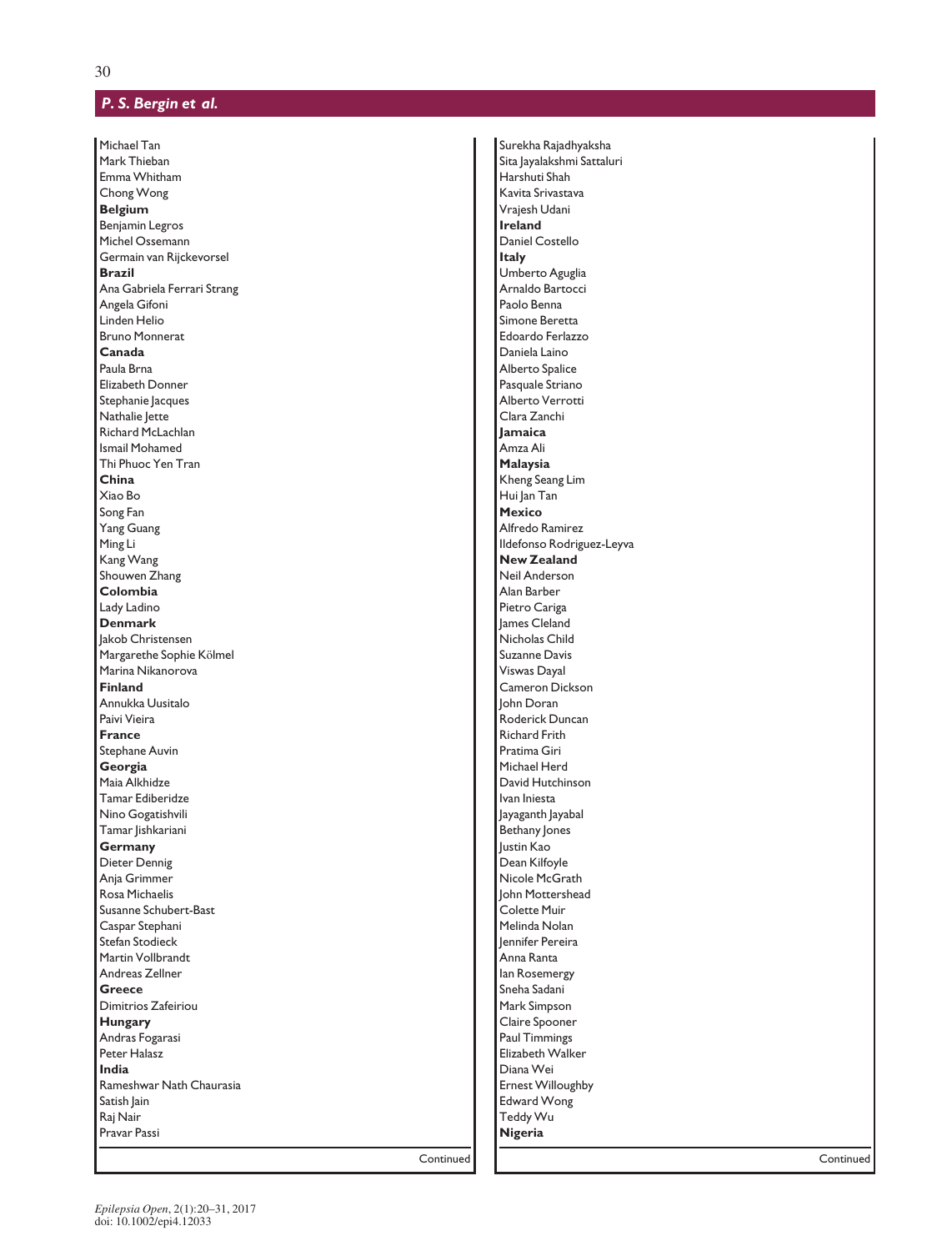Michael Tan Mark Thieban Emma Whitham Chong Wong Belgium Benjamin Legros Michel Ossemann Germain van Rijckevorsel Brazil Ana Gabriela Ferrari Strang Angela Gifoni Linden Helio Bruno Monnerat Canada Paula Brna Elizabeth Donner Stephanie Jacques Nathalie Jette Richard McLachlan Ismail Mohamed Thi Phuoc Yen Tran China Xiao Bo Song Fan Yang Guang Ming Li Kang Wang Shouwen Zhang Colombia Lady Ladino Denmark Jakob Christensen Margarethe Sophie K ӧlmel Marina Nikanorova Finland Annukka Uusitalo Paivi Vieira France Stephane Auvin Georgia Maia Alkhidze Tamar Ediberidze Nino Gogatishvili Tamar Jishkariani **Germany** Dieter Dennig Anja Grimmer Rosa Michaelis Susanne Schubert-Bast Caspar Stephani Stefan Stodieck Martin Vollbrandt Andreas Zellner Greece Dimitrios Zafeiriou Hungary Andras Fogarasi Peter Halasz India Rameshwar Nath Chaurasia Satish lain Raj Nair Pravar Passi

Surekha Rajadhyaksha Sita Jayalakshmi Sattaluri Harshuti Shah Kavita Srivastava Vrajesh Udani Ireland Daniel Costello litaly Umberto Aguglia Arnaldo Bartocci Paolo Benna Simone Beretta Edoardo Ferlazzo Daniela Laino Alberto Spalice Pasquale Striano Alberto Verrotti Clara Zanchi Jamaica Amza Ali Malaysia Kheng Seang Lim Hui Jan Tan Mexico Alfredo Ramirez Ildefonso Rodriguez-Leyva New Zealand Neil Anderson Alan Barber Pietro Cariga James Cleland Nicholas Child Suzanne Davis Viswas Dayal Cameron Dickson John Doran Roderick Duncan Richard Frith Pratima Giri Michael Herd David Hutchinson Ivan Iniesta Jayaganth Jayabal Bethany Jones Justin Kao Dean Kilfoyle Nicole McGrath John Mottershead **Colette Muir** Melinda Nolan Jennifer Pereira Anna Ranta Ian Rosemergy Sneha Sadani Mark Simpson Claire Spooner Paul Timmings Elizabeth Walker Diana Wei Ernest Willoughby Edward Wong Teddy Wu Nigeria

Continued

Continued